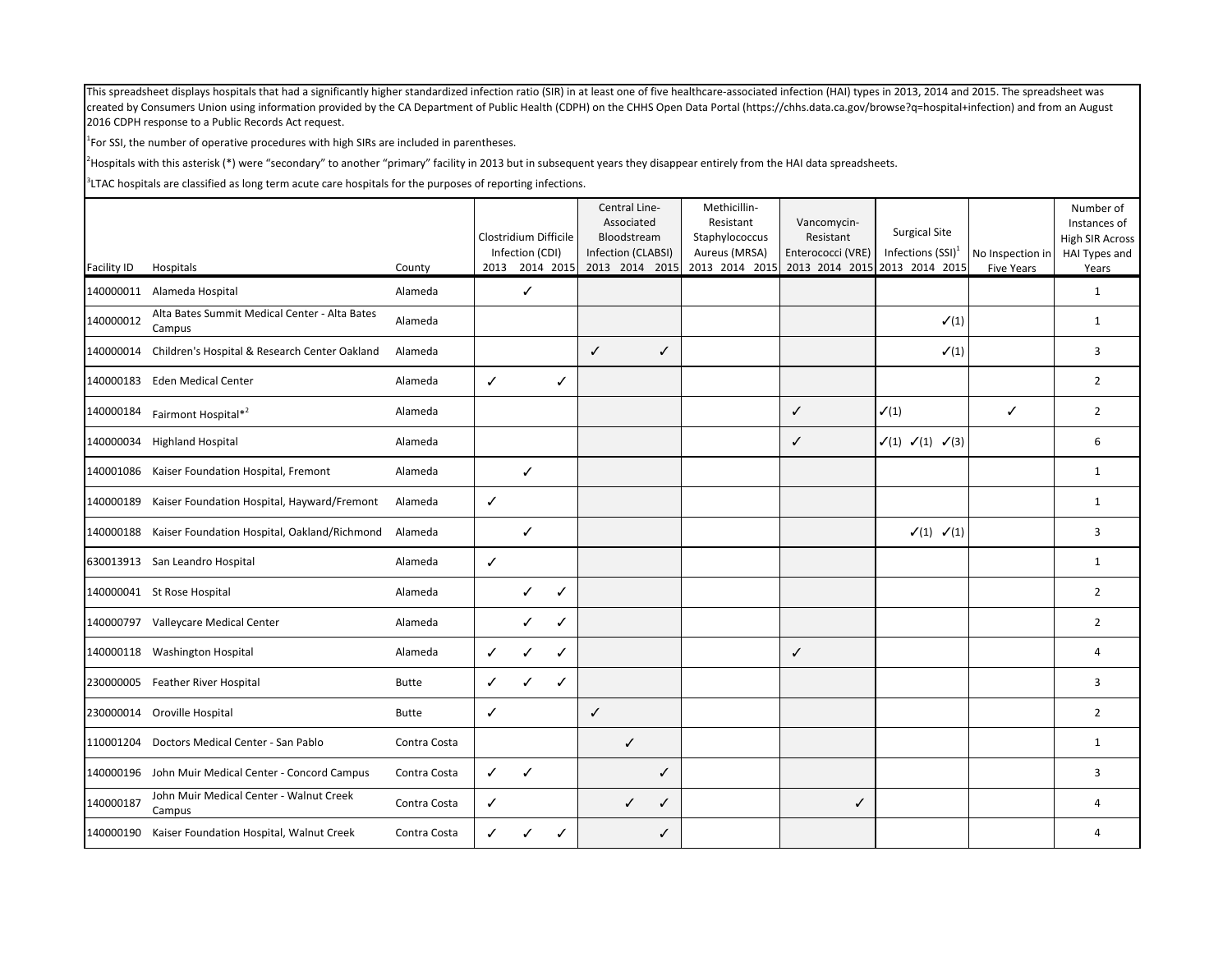$1$ For SSI, the number of operative procedures with high SIRs are included in parentheses.

<sup>2</sup>Hospitals with this asterisk (\*) were "secondary" to another "primary" facility in 2013 but in subsequent years they disappear entirely from the HAI data spreadsheets.

|                    |                                                         |              | Clostridium Difficile |                                   |   | Central Line-<br>Associated<br>Bloodstream |   | Methicillin-<br>Resistant<br>Staphylococcus | Vancomycin-<br>Resistant | <b>Surgical Site</b>                                  |                                       | Number of<br>Instances of<br><b>High SIR Across</b> |
|--------------------|---------------------------------------------------------|--------------|-----------------------|-----------------------------------|---|--------------------------------------------|---|---------------------------------------------|--------------------------|-------------------------------------------------------|---------------------------------------|-----------------------------------------------------|
| <b>Facility ID</b> | Hospitals                                               | County       |                       | Infection (CDI)<br>2013 2014 2015 |   | Infection (CLABSI)<br>2013 2014 2015       |   | Aureus (MRSA)<br>2013 2014 2015             | Enterococci (VRE)        | Infections $(SSI)^1$<br>2013 2014 2015 2013 2014 2015 | No Inspection in<br><b>Five Years</b> | HAI Types and<br>Years                              |
| 140000011          | Alameda Hospital                                        | Alameda      |                       | $\checkmark$                      |   |                                            |   |                                             |                          |                                                       |                                       | 1                                                   |
| 140000012          | Alta Bates Summit Medical Center - Alta Bates<br>Campus | Alameda      |                       |                                   |   |                                            |   |                                             |                          | $\checkmark(1)$                                       |                                       | $\mathbf{1}$                                        |
| 140000014          | Children's Hospital & Research Center Oakland           | Alameda      |                       |                                   |   | $\checkmark$                               | ✓ |                                             |                          | $\checkmark(1)$                                       |                                       | 3                                                   |
| 140000183          | <b>Eden Medical Center</b>                              | Alameda      | $\checkmark$          |                                   | ✓ |                                            |   |                                             |                          |                                                       |                                       | 2                                                   |
| 140000184          | Fairmont Hospital* <sup>2</sup>                         | Alameda      |                       |                                   |   |                                            |   |                                             | $\checkmark$             | $\checkmark(1)$                                       | ✓                                     | $\overline{2}$                                      |
| 140000034          | <b>Highland Hospital</b>                                | Alameda      |                       |                                   |   |                                            |   |                                             | $\checkmark$             | $\checkmark(1) \checkmark(1) \checkmark(3)$           |                                       | 6                                                   |
|                    | 140001086 Kaiser Foundation Hospital, Fremont           | Alameda      |                       | ✓                                 |   |                                            |   |                                             |                          |                                                       |                                       | 1                                                   |
|                    | 140000189 Kaiser Foundation Hospital, Hayward/Fremont   | Alameda      | $\checkmark$          |                                   |   |                                            |   |                                             |                          |                                                       |                                       | $\mathbf{1}$                                        |
|                    | 140000188 Kaiser Foundation Hospital, Oakland/Richmond  | Alameda      |                       | $\checkmark$                      |   |                                            |   |                                             |                          | $\checkmark(1)$ $\checkmark(1)$                       |                                       | 3                                                   |
|                    | 630013913 San Leandro Hospital                          | Alameda      | $\checkmark$          |                                   |   |                                            |   |                                             |                          |                                                       |                                       | $\mathbf{1}$                                        |
|                    | 140000041 St Rose Hospital                              | Alameda      |                       | ✓                                 | ✓ |                                            |   |                                             |                          |                                                       |                                       | $\overline{2}$                                      |
|                    | 140000797 Valleycare Medical Center                     | Alameda      |                       | ✓                                 | ✓ |                                            |   |                                             |                          |                                                       |                                       | $\overline{2}$                                      |
|                    | 140000118 Washington Hospital                           | Alameda      | ✓                     | ✓                                 | ✓ |                                            |   |                                             | $\checkmark$             |                                                       |                                       | 4                                                   |
| 230000005          | <b>Feather River Hospital</b>                           | <b>Butte</b> | $\checkmark$          | ✓                                 | ✓ |                                            |   |                                             |                          |                                                       |                                       | 3                                                   |
| 230000014          | Oroville Hospital                                       | <b>Butte</b> | $\checkmark$          |                                   |   | $\checkmark$                               |   |                                             |                          |                                                       |                                       | $\overline{2}$                                      |
| 110001204          | Doctors Medical Center - San Pablo                      | Contra Costa |                       |                                   |   | $\checkmark$                               |   |                                             |                          |                                                       |                                       | 1                                                   |
| 140000196          | John Muir Medical Center - Concord Campus               | Contra Costa | $\checkmark$          | $\checkmark$                      |   |                                            | ✓ |                                             |                          |                                                       |                                       | 3                                                   |
| 140000187          | John Muir Medical Center - Walnut Creek<br>Campus       | Contra Costa | $\checkmark$          |                                   |   | $\checkmark$                               | ✓ |                                             | ✓                        |                                                       |                                       | 4                                                   |
|                    | 140000190 Kaiser Foundation Hospital, Walnut Creek      | Contra Costa | ✓                     | ✓                                 | ✓ |                                            | ✓ |                                             |                          |                                                       |                                       | 4                                                   |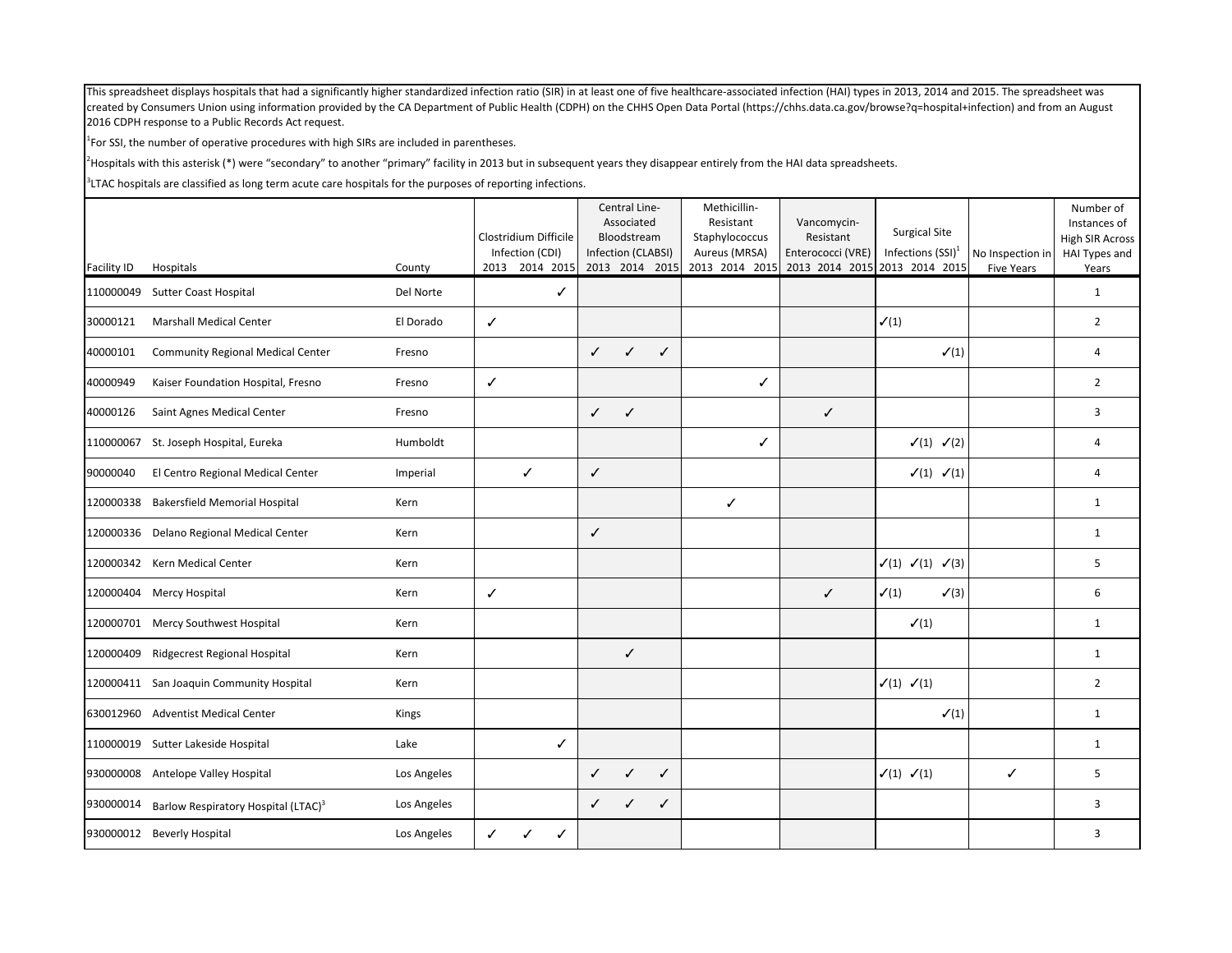$1$ For SSI, the number of operative procedures with high SIRs are included in parentheses.

<sup>2</sup>Hospitals with this asterisk (\*) were "secondary" to another "primary" facility in 2013 but in subsequent years they disappear entirely from the HAI data spreadsheets.

|                    |                                                 |             |   | Clostridium Difficile             |              | Central Line-<br>Associated<br>Bloodstream |                | Methicillin-<br>Resistant<br>Staphylococcus | Vancomycin-<br>Resistant                           | <b>Surgical Site</b>                            |                                       | Number of<br>Instances of<br>High SIR Across |
|--------------------|-------------------------------------------------|-------------|---|-----------------------------------|--------------|--------------------------------------------|----------------|---------------------------------------------|----------------------------------------------------|-------------------------------------------------|---------------------------------------|----------------------------------------------|
| <b>Facility ID</b> | Hospitals                                       | County      |   | Infection (CDI)<br>2013 2014 2015 |              | Infection (CLABSI)                         | 2013 2014 2015 | Aureus (MRSA)<br>2013 2014 2015             | Enterococci (VRE)<br>2013 2014 2015 2013 2014 2015 | Infections $(SSI)^1$                            | No Inspection in<br><b>Five Years</b> | HAI Types and<br>Years                       |
| 110000049          | <b>Sutter Coast Hospital</b>                    | Del Norte   |   | ✓                                 |              |                                            |                |                                             |                                                    |                                                 |                                       | $\mathbf{1}$                                 |
| 30000121           | <b>Marshall Medical Center</b>                  | El Dorado   | ✓ |                                   |              |                                            |                |                                             |                                                    | $\surd(1)$                                      |                                       | $\overline{2}$                               |
| 40000101           | <b>Community Regional Medical Center</b>        | Fresno      |   |                                   | $\checkmark$ | $\checkmark$                               | $\checkmark$   |                                             |                                                    | $\checkmark(1)$                                 |                                       | $\overline{4}$                               |
| 40000949           | Kaiser Foundation Hospital, Fresno              | Fresno      | ✓ |                                   |              |                                            |                | ✓                                           |                                                    |                                                 |                                       | $\overline{2}$                               |
| 40000126           | Saint Agnes Medical Center                      | Fresno      |   |                                   | $\checkmark$ | $\checkmark$                               |                |                                             | $\checkmark$                                       |                                                 |                                       | 3                                            |
| 110000067          | St. Joseph Hospital, Eureka                     | Humboldt    |   |                                   |              |                                            |                | ✓                                           |                                                    | $\checkmark(1)$ $\checkmark(2)$                 |                                       | $\overline{4}$                               |
| 90000040           | El Centro Regional Medical Center               | Imperial    |   | $\checkmark$                      | ✓            |                                            |                |                                             |                                                    | $\checkmark(1)$ $\checkmark(1)$                 |                                       | $\overline{4}$                               |
| 120000338          | <b>Bakersfield Memorial Hospital</b>            | Kern        |   |                                   |              |                                            |                | ✓                                           |                                                    |                                                 |                                       | 1                                            |
|                    | 120000336 Delano Regional Medical Center        | Kern        |   |                                   | $\checkmark$ |                                            |                |                                             |                                                    |                                                 |                                       | $\mathbf{1}$                                 |
|                    | 120000342 Kern Medical Center                   | Kern        |   |                                   |              |                                            |                |                                             |                                                    | $\checkmark(1)$ $\checkmark(1)$ $\checkmark(3)$ |                                       | 5                                            |
| 120000404          | Mercy Hospital                                  | Kern        | ✓ |                                   |              |                                            |                |                                             | $\checkmark$                                       | $\checkmark(1)$<br>$\checkmark$ (3)             |                                       | 6                                            |
|                    | 120000701 Mercy Southwest Hospital              | Kern        |   |                                   |              |                                            |                |                                             |                                                    | $\checkmark(1)$                                 |                                       | $\mathbf{1}$                                 |
| 120000409          | Ridgecrest Regional Hospital                    | Kern        |   |                                   |              | $\checkmark$                               |                |                                             |                                                    |                                                 |                                       | $\mathbf{1}$                                 |
|                    | 120000411 San Joaquin Community Hospital        | Kern        |   |                                   |              |                                            |                |                                             |                                                    | $\checkmark(1)$ $\checkmark(1)$                 |                                       | $\overline{2}$                               |
|                    | 630012960 Adventist Medical Center              | Kings       |   |                                   |              |                                            |                |                                             |                                                    | $\checkmark(1)$                                 |                                       | $\mathbf{1}$                                 |
|                    | 110000019 Sutter Lakeside Hospital              | Lake        |   | ✓                                 |              |                                            |                |                                             |                                                    |                                                 |                                       | 1                                            |
|                    | 930000008 Antelope Valley Hospital              | Los Angeles |   |                                   | $\checkmark$ | $\checkmark$                               | ✓              |                                             |                                                    | $\checkmark(1)$ $\checkmark(1)$                 | ✓                                     | 5                                            |
| 930000014          | Barlow Respiratory Hospital (LTAC) <sup>3</sup> | Los Angeles |   |                                   | $\checkmark$ | J                                          | ✓              |                                             |                                                    |                                                 |                                       | 3                                            |
|                    | 930000012 Beverly Hospital                      | Los Angeles | ✓ | ✓<br>✓                            |              |                                            |                |                                             |                                                    |                                                 |                                       | 3                                            |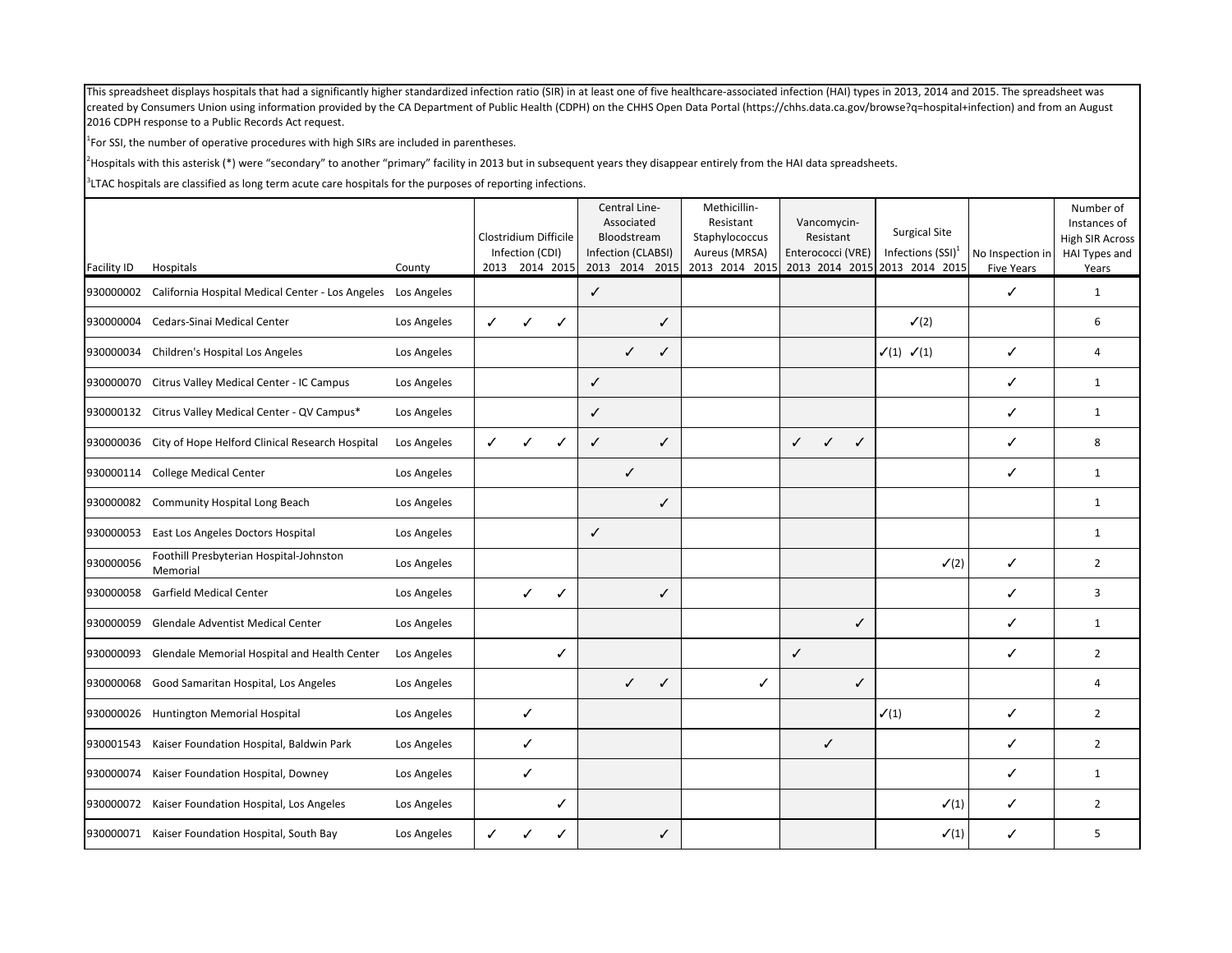$1$ For SSI, the number of operative procedures with high SIRs are included in parentheses.

<sup>2</sup>Hospitals with this asterisk (\*) were "secondary" to another "primary" facility in 2013 but in subsequent years they disappear entirely from the HAI data spreadsheets.

|                          |                                                                           |             | Clostridium Difficile | Infection (CDI) | 2013 2014 2015 |              | Central Line-<br>Associated<br>Bloodstream<br>Infection (CLABSI)<br>2013 2014 2015 |              | Methicillin-<br>Resistant<br>Staphylococcus<br>Aureus (MRSA)<br>2013 2014 2015 | Vancomycin-<br>Resistant<br>Enterococci (VRE) | <b>Surgical Site</b><br>Infections $(SSI)^1$<br>2013 2014 2015 2013 2014 2015 | No Inspection in       | Number of<br>Instances of<br><b>High SIR Across</b><br>HAI Types and |
|--------------------------|---------------------------------------------------------------------------|-------------|-----------------------|-----------------|----------------|--------------|------------------------------------------------------------------------------------|--------------|--------------------------------------------------------------------------------|-----------------------------------------------|-------------------------------------------------------------------------------|------------------------|----------------------------------------------------------------------|
| Facility ID<br>930000002 | Hospitals<br>California Hospital Medical Center - Los Angeles Los Angeles | County      |                       |                 |                | $\checkmark$ |                                                                                    |              |                                                                                |                                               |                                                                               | <b>Five Years</b><br>✓ | Years<br>$\mathbf{1}$                                                |
| 930000004                | Cedars-Sinai Medical Center                                               | Los Angeles | ✓                     | $\checkmark$    | ✓              |              |                                                                                    | ✓            |                                                                                |                                               | $\checkmark$ (2)                                                              |                        | 6                                                                    |
| 930000034                | Children's Hospital Los Angeles                                           | Los Angeles |                       |                 |                |              | $\checkmark$                                                                       | ✓            |                                                                                |                                               | $\checkmark(1)$ $\checkmark(1)$                                               | ✓                      | $\overline{4}$                                                       |
| 930000070                | Citrus Valley Medical Center - IC Campus                                  | Los Angeles |                       |                 |                | $\checkmark$ |                                                                                    |              |                                                                                |                                               |                                                                               | ✓                      | $\mathbf{1}$                                                         |
|                          | 930000132 Citrus Valley Medical Center - QV Campus*                       | Los Angeles |                       |                 |                | ✓            |                                                                                    |              |                                                                                |                                               |                                                                               | ✓                      | $\mathbf{1}$                                                         |
|                          | 930000036 City of Hope Helford Clinical Research Hospital                 | Los Angeles | ✓                     | ✓               | ✓              | $\checkmark$ |                                                                                    | $\checkmark$ |                                                                                | $\checkmark$<br>$\checkmark$<br>✓             |                                                                               | $\checkmark$           | 8                                                                    |
| 930000114                | <b>College Medical Center</b>                                             | Los Angeles |                       |                 |                |              | $\checkmark$                                                                       |              |                                                                                |                                               |                                                                               | ✓                      | 1                                                                    |
|                          | 930000082 Community Hospital Long Beach                                   | Los Angeles |                       |                 |                |              |                                                                                    | ✓            |                                                                                |                                               |                                                                               |                        | 1                                                                    |
| 930000053                | East Los Angeles Doctors Hospital                                         | Los Angeles |                       |                 |                | $\checkmark$ |                                                                                    |              |                                                                                |                                               |                                                                               |                        | 1                                                                    |
| 930000056                | Foothill Presbyterian Hospital-Johnston<br>Memorial                       | Los Angeles |                       |                 |                |              |                                                                                    |              |                                                                                |                                               | $\checkmark$ (2)                                                              | ✓                      | $\overline{2}$                                                       |
| 930000058                | <b>Garfield Medical Center</b>                                            | Los Angeles |                       | ✓               | ✓              |              |                                                                                    | ✓            |                                                                                |                                               |                                                                               | ✓                      | 3                                                                    |
| 930000059                | Glendale Adventist Medical Center                                         | Los Angeles |                       |                 |                |              |                                                                                    |              |                                                                                | ✓                                             |                                                                               | ✓                      | $\mathbf{1}$                                                         |
| 930000093                | Glendale Memorial Hospital and Health Center                              | Los Angeles |                       |                 | ✓              |              |                                                                                    |              |                                                                                | $\checkmark$                                  |                                                                               | ✓                      | $\overline{2}$                                                       |
| 930000068                | Good Samaritan Hospital, Los Angeles                                      | Los Angeles |                       |                 |                |              | $\checkmark$                                                                       | ✓            | ✓                                                                              | ✓                                             |                                                                               |                        | $\overline{4}$                                                       |
|                          | 930000026 Huntington Memorial Hospital                                    | Los Angeles |                       | ✓               |                |              |                                                                                    |              |                                                                                |                                               | $\checkmark(1)$                                                               | ✓                      | $\overline{2}$                                                       |
| 930001543                | Kaiser Foundation Hospital, Baldwin Park                                  | Los Angeles |                       | ✓               |                |              |                                                                                    |              |                                                                                | $\checkmark$                                  |                                                                               | ✓                      | $\overline{2}$                                                       |
| 930000074                | Kaiser Foundation Hospital, Downey                                        | Los Angeles |                       | $\checkmark$    |                |              |                                                                                    |              |                                                                                |                                               |                                                                               | ✓                      | $\mathbf{1}$                                                         |
| 930000072                | Kaiser Foundation Hospital, Los Angeles                                   | Los Angeles |                       |                 | ✓              |              |                                                                                    |              |                                                                                |                                               | $\checkmark(1)$                                                               | ✓                      | $\overline{2}$                                                       |
|                          | 930000071 Kaiser Foundation Hospital, South Bay                           | Los Angeles |                       |                 |                |              |                                                                                    | ✓            |                                                                                |                                               | $\checkmark(1)$                                                               | ✓                      | 5                                                                    |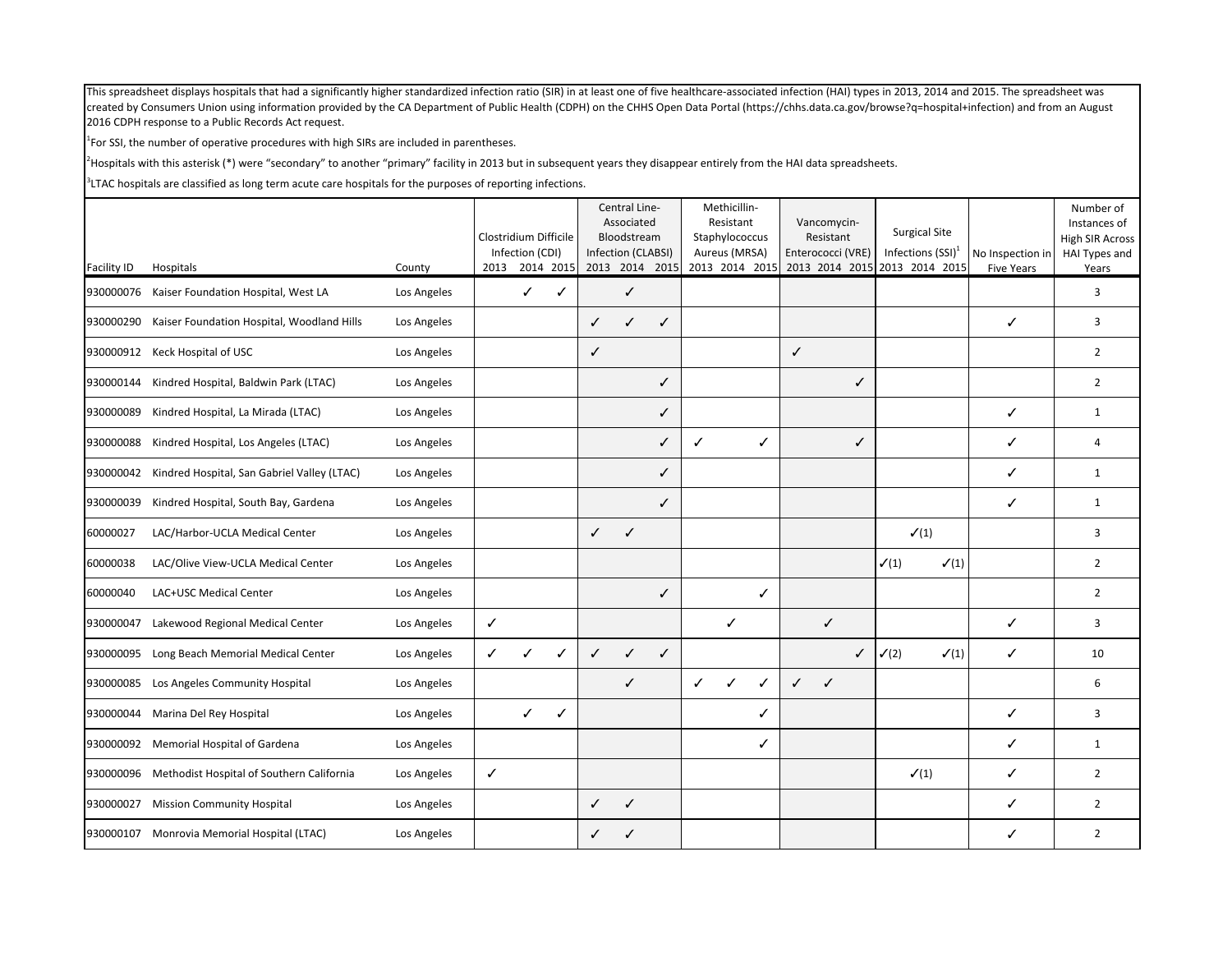$1$ For SSI, the number of operative procedures with high SIRs are included in parentheses.

<sup>2</sup>Hospitals with this asterisk (\*) were "secondary" to another "primary" facility in 2013 but in subsequent years they disappear entirely from the HAI data spreadsheets.

| Facility ID | Hospitals                                   | County      | Clostridium Difficile | Infection (CDI) | 2013 2014 2015 |              | Central Line-<br>Associated<br>Bloodstream<br>Infection (CLABSI)<br>2013 2014 2015 |              |   | Methicillin-<br>Resistant<br>Staphylococcus<br>Aureus (MRSA)<br>2013 2014 2015 |   | Vancomycin-<br>Resistant<br>Enterococci (VRE) |   | <b>Surgical Site</b><br>Infections $(SSI)^1$<br>2013 2014 2015 2013 2014 2015 | No Inspection in  | Number of<br>Instances of<br><b>High SIR Across</b><br>HAI Types and |
|-------------|---------------------------------------------|-------------|-----------------------|-----------------|----------------|--------------|------------------------------------------------------------------------------------|--------------|---|--------------------------------------------------------------------------------|---|-----------------------------------------------|---|-------------------------------------------------------------------------------|-------------------|----------------------------------------------------------------------|
| 930000076   | Kaiser Foundation Hospital, West LA         | Los Angeles |                       | ✓               | ✓              |              | $\checkmark$                                                                       |              |   |                                                                                |   |                                               |   |                                                                               | <b>Five Years</b> | Years<br>3                                                           |
| 930000290   | Kaiser Foundation Hospital, Woodland Hills  | Los Angeles |                       |                 |                | ✓            | ✓                                                                                  | ✓            |   |                                                                                |   |                                               |   |                                                                               | ✓                 | 3                                                                    |
|             | 930000912 Keck Hospital of USC              | Los Angeles |                       |                 |                | $\checkmark$ |                                                                                    |              |   |                                                                                |   | $\checkmark$                                  |   |                                                                               |                   | $\overline{2}$                                                       |
| 930000144   | Kindred Hospital, Baldwin Park (LTAC)       | Los Angeles |                       |                 |                |              |                                                                                    | ✓            |   |                                                                                |   |                                               | ✓ |                                                                               |                   | $\overline{2}$                                                       |
| 930000089   | Kindred Hospital, La Mirada (LTAC)          | Los Angeles |                       |                 |                |              |                                                                                    | ✓            |   |                                                                                |   |                                               |   |                                                                               | ✓                 | 1                                                                    |
| 930000088   | Kindred Hospital, Los Angeles (LTAC)        | Los Angeles |                       |                 |                |              |                                                                                    | ✓            | ✓ |                                                                                | ✓ |                                               | ✓ |                                                                               | ✓                 | 4                                                                    |
| 930000042   | Kindred Hospital, San Gabriel Valley (LTAC) | Los Angeles |                       |                 |                |              |                                                                                    | ✓            |   |                                                                                |   |                                               |   |                                                                               | ✓                 | $\mathbf{1}$                                                         |
| 930000039   | Kindred Hospital, South Bay, Gardena        | Los Angeles |                       |                 |                |              |                                                                                    | $\checkmark$ |   |                                                                                |   |                                               |   |                                                                               | ✓                 | $\mathbf{1}$                                                         |
| 60000027    | LAC/Harbor-UCLA Medical Center              | Los Angeles |                       |                 |                | $\checkmark$ | $\checkmark$                                                                       |              |   |                                                                                |   |                                               |   | $\checkmark(1)$                                                               |                   | 3                                                                    |
| 60000038    | LAC/Olive View-UCLA Medical Center          | Los Angeles |                       |                 |                |              |                                                                                    |              |   |                                                                                |   |                                               |   | $\checkmark(1)$<br>$\checkmark(1)$                                            |                   | $\overline{2}$                                                       |
| 60000040    | LAC+USC Medical Center                      | Los Angeles |                       |                 |                |              |                                                                                    | ✓            |   |                                                                                | ✓ |                                               |   |                                                                               |                   | $\overline{2}$                                                       |
| 930000047   | Lakewood Regional Medical Center            | Los Angeles | ✓                     |                 |                |              |                                                                                    |              |   | ✓                                                                              |   | $\checkmark$                                  |   |                                                                               | ✓                 | 3                                                                    |
| 930000095   | Long Beach Memorial Medical Center          | Los Angeles | ✓                     |                 | ✓              | $\checkmark$ | $\checkmark$                                                                       | ✓            |   |                                                                                |   |                                               | ✓ | $\checkmark$ (2)<br>$\checkmark(1)$                                           | ✓                 | 10                                                                   |
| 930000085   | Los Angeles Community Hospital              | Los Angeles |                       |                 |                |              | $\checkmark$                                                                       |              | ✓ |                                                                                | ✓ | $\checkmark$<br>$\checkmark$                  |   |                                                                               |                   | 6                                                                    |
| 930000044   | Marina Del Rey Hospital                     | Los Angeles |                       | $\checkmark$    | ✓              |              |                                                                                    |              |   |                                                                                | ✓ |                                               |   |                                                                               | ✓                 | 3                                                                    |
| 930000092   | Memorial Hospital of Gardena                | Los Angeles |                       |                 |                |              |                                                                                    |              |   |                                                                                | ✓ |                                               |   |                                                                               | ✓                 | $\mathbf{1}$                                                         |
| 930000096   | Methodist Hospital of Southern California   | Los Angeles | ✓                     |                 |                |              |                                                                                    |              |   |                                                                                |   |                                               |   | $\checkmark(1)$                                                               | ✓                 | $\overline{2}$                                                       |
| 930000027   | <b>Mission Community Hospital</b>           | Los Angeles |                       |                 |                | $\checkmark$ | ✓                                                                                  |              |   |                                                                                |   |                                               |   |                                                                               | ✓                 | $\overline{2}$                                                       |
|             | 930000107 Monrovia Memorial Hospital (LTAC) | Los Angeles |                       |                 |                | ✓            |                                                                                    |              |   |                                                                                |   |                                               |   |                                                                               | ✓                 | $\overline{2}$                                                       |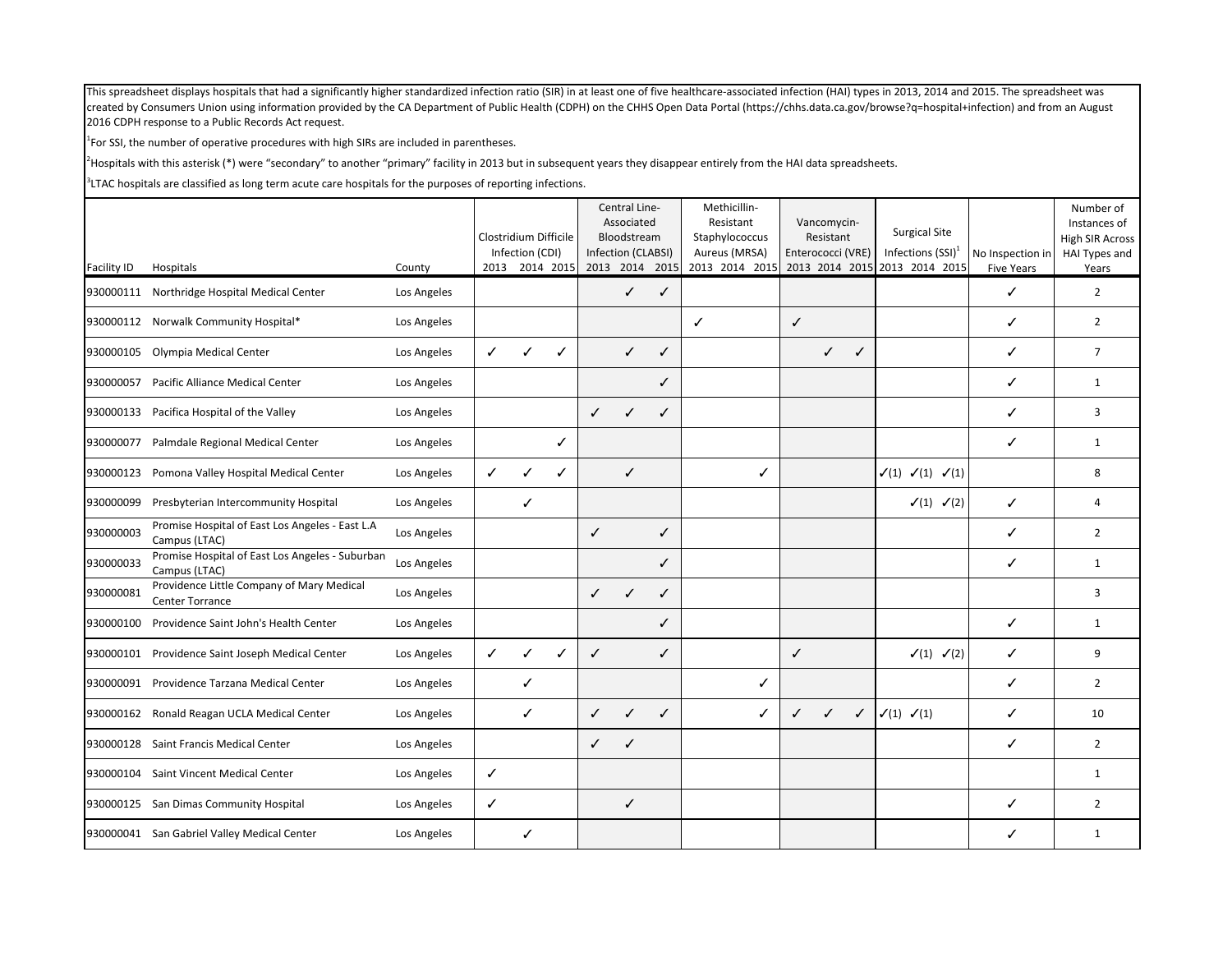$1$ For SSI, the number of operative procedures with high SIRs are included in parentheses.

<sup>2</sup>Hospitals with this asterisk (\*) were "secondary" to another "primary" facility in 2013 but in subsequent years they disappear entirely from the HAI data spreadsheets.

|                    |                                                                  |             | Clostridium Difficile | Infection (CDI) |                |              | Central Line-<br>Associated<br>Bloodstream<br>Infection (CLABSI) |      | Methicillin-<br>Resistant<br>Staphylococcus<br>Aureus (MRSA) |              | Vancomycin-<br>Resistant<br>Enterococci (VRE) |              | <b>Surgical Site</b><br>Infections $(SSI)^1$    | No Inspection in  | Number of<br>Instances of<br><b>High SIR Across</b><br>HAI Types and |
|--------------------|------------------------------------------------------------------|-------------|-----------------------|-----------------|----------------|--------------|------------------------------------------------------------------|------|--------------------------------------------------------------|--------------|-----------------------------------------------|--------------|-------------------------------------------------|-------------------|----------------------------------------------------------------------|
| <b>Facility ID</b> | Hospitals                                                        | County      |                       |                 | 2013 2014 2015 |              | 2013 2014                                                        | 2015 | 2013 2014 2015                                               |              |                                               |              | 2013 2014 2015 2013 2014 2015                   | <b>Five Years</b> | Years                                                                |
|                    | 930000111 Northridge Hospital Medical Center                     | Los Angeles |                       |                 |                |              | $\checkmark$                                                     | ✓    |                                                              |              |                                               |              |                                                 | ✓                 | $\overline{2}$                                                       |
|                    | 930000112 Norwalk Community Hospital*                            | Los Angeles |                       |                 |                |              |                                                                  |      | $\checkmark$                                                 | $\checkmark$ |                                               |              |                                                 | ✓                 | $\overline{2}$                                                       |
| 930000105          | Olympia Medical Center                                           | Los Angeles | ✓                     | $\checkmark$    | ✓              |              | ✓                                                                | ✓    |                                                              |              | $\checkmark$                                  | ✓            |                                                 | ✓                 | $\overline{7}$                                                       |
| 930000057          | Pacific Alliance Medical Center                                  | Los Angeles |                       |                 |                |              |                                                                  | ✓    |                                                              |              |                                               |              |                                                 | ✓                 | $\mathbf{1}$                                                         |
| 930000133          | Pacifica Hospital of the Valley                                  | Los Angeles |                       |                 |                | $\checkmark$ | ✓                                                                | ✓    |                                                              |              |                                               |              |                                                 | ✓                 | 3                                                                    |
| 930000077          | Palmdale Regional Medical Center                                 | Los Angeles |                       |                 | ✓              |              |                                                                  |      |                                                              |              |                                               |              |                                                 | ✓                 | $\mathbf{1}$                                                         |
|                    | 930000123 Pomona Valley Hospital Medical Center                  | Los Angeles | ✓                     | ✓               | ✓              |              | ✓                                                                |      | ✓                                                            |              |                                               |              | $\checkmark(1)$ $\checkmark(1)$ $\checkmark(1)$ |                   | 8                                                                    |
| 930000099          | Presbyterian Intercommunity Hospital                             | Los Angeles |                       | $\checkmark$    |                |              |                                                                  |      |                                                              |              |                                               |              | $\checkmark(1)$ $\checkmark(2)$                 | ✓                 | $\overline{4}$                                                       |
| 930000003          | Promise Hospital of East Los Angeles - East L.A<br>Campus (LTAC) | Los Angeles |                       |                 |                | $\checkmark$ |                                                                  | ✓    |                                                              |              |                                               |              |                                                 | ✓                 | $\overline{2}$                                                       |
| 930000033          | Promise Hospital of East Los Angeles - Suburban<br>Campus (LTAC) | Los Angeles |                       |                 |                |              |                                                                  | ✓    |                                                              |              |                                               |              |                                                 | ✓                 | $\mathbf{1}$                                                         |
| 930000081          | Providence Little Company of Mary Medical<br>Center Torrance     | Los Angeles |                       |                 |                | $\checkmark$ | ✓                                                                | ✓    |                                                              |              |                                               |              |                                                 |                   | 3                                                                    |
| 930000100          | Providence Saint John's Health Center                            | Los Angeles |                       |                 |                |              |                                                                  | ✓    |                                                              |              |                                               |              |                                                 | ✓                 | 1                                                                    |
| 930000101          | Providence Saint Joseph Medical Center                           | Los Angeles | ✓                     | ✓               | ✓              | $\checkmark$ |                                                                  | ✓    |                                                              | $\checkmark$ |                                               |              | $\checkmark(1)$ $\checkmark(2)$                 | ✓                 | 9                                                                    |
| 930000091          | Providence Tarzana Medical Center                                | Los Angeles |                       | ✓               |                |              |                                                                  |      | ✓                                                            |              |                                               |              |                                                 | ✓                 | $\overline{2}$                                                       |
|                    | 930000162 Ronald Reagan UCLA Medical Center                      | Los Angeles |                       | ✓               |                | ✓            | ✓                                                                | ✓    | ✓                                                            | $\checkmark$ | $\checkmark$                                  | $\checkmark$ | $\checkmark(1)$ $\checkmark(1)$                 | ✓                 | 10                                                                   |
| 930000128          | Saint Francis Medical Center                                     | Los Angeles |                       |                 |                | ✓            | J                                                                |      |                                                              |              |                                               |              |                                                 | ✓                 | $\overline{2}$                                                       |
| 930000104          | Saint Vincent Medical Center                                     | Los Angeles | ✓                     |                 |                |              |                                                                  |      |                                                              |              |                                               |              |                                                 |                   | 1                                                                    |
|                    | 930000125 San Dimas Community Hospital                           | Los Angeles | ✓                     |                 |                |              | ✓                                                                |      |                                                              |              |                                               |              |                                                 | ✓                 | $\overline{2}$                                                       |
|                    | 930000041 San Gabriel Valley Medical Center                      | Los Angeles |                       | ✓               |                |              |                                                                  |      |                                                              |              |                                               |              |                                                 | ✓                 | 1                                                                    |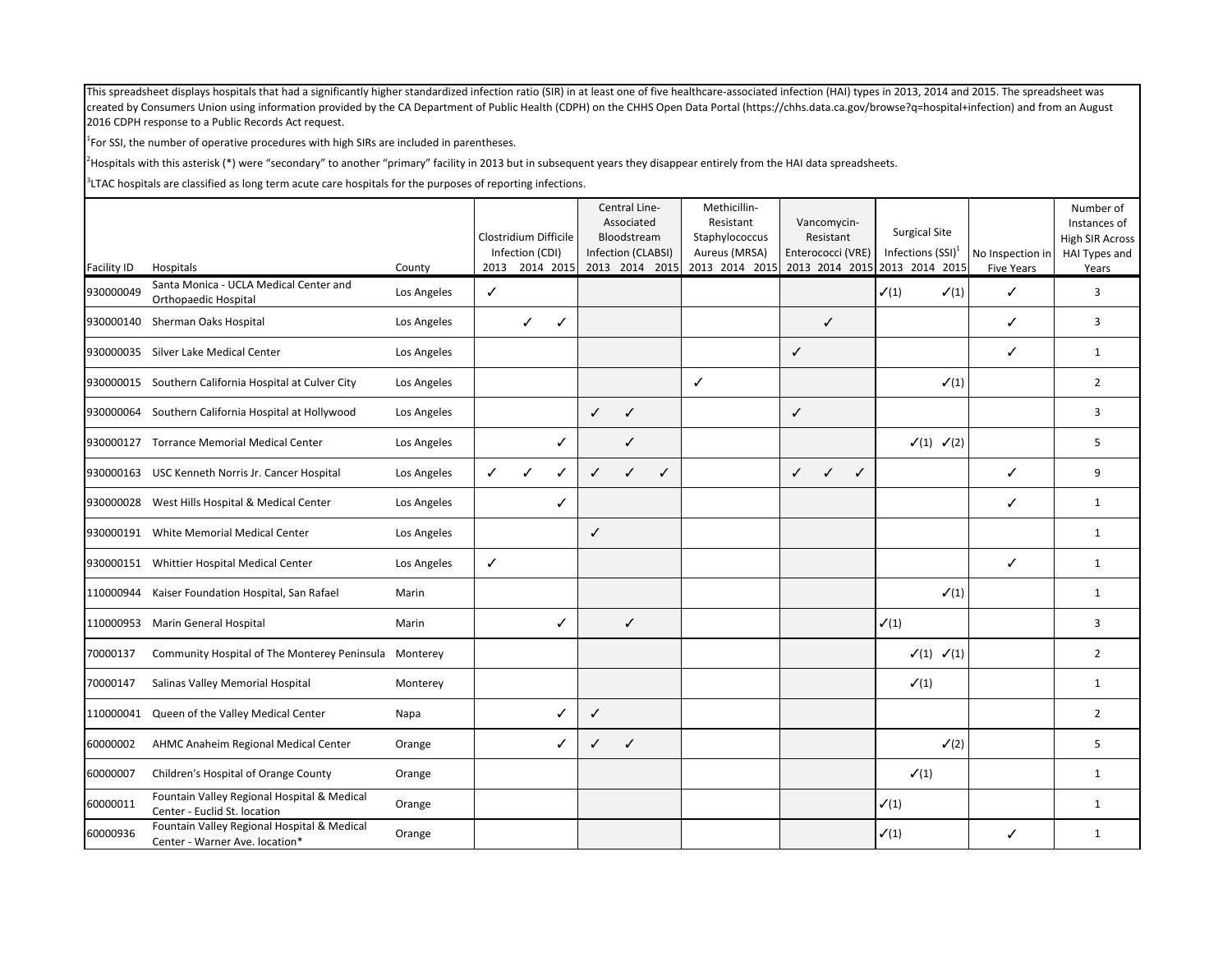$1$ For SSI, the number of operative procedures with high SIRs are included in parentheses.

<sup>2</sup>Hospitals with this asterisk (\*) were "secondary" to another "primary" facility in 2013 but in subsequent years they disappear entirely from the HAI data spreadsheets.

|                    |                                                                               |             |              | Clostridium Difficile<br>Infection (CDI) |                |              | Central Line-<br>Associated<br>Bloodstream<br>Infection (CLABSI) |                | Methicillin-<br>Resistant<br>Staphylococcus<br>Aureus (MRSA) | Vancomycin-<br>Resistant<br>Enterococci (VRE) | <b>Surgical Site</b><br>Infections $(SSI)^1$ | No Inspection in  | Number of<br>Instances of<br><b>High SIR Across</b><br>HAI Types and |
|--------------------|-------------------------------------------------------------------------------|-------------|--------------|------------------------------------------|----------------|--------------|------------------------------------------------------------------|----------------|--------------------------------------------------------------|-----------------------------------------------|----------------------------------------------|-------------------|----------------------------------------------------------------------|
| <b>Facility ID</b> | Hospitals<br>Santa Monica - UCLA Medical Center and                           | County      |              |                                          | 2013 2014 2015 |              |                                                                  | 2013 2014 2015 | 2013 2014 2015                                               | 2013 2014 2015 2013 2014 2015                 |                                              | <b>Five Years</b> | Years                                                                |
| 930000049          | Orthopaedic Hospital                                                          | Los Angeles | $\checkmark$ |                                          |                |              |                                                                  |                |                                                              |                                               | $\checkmark(1)$<br>$\checkmark(1)$           | ✓                 | 3                                                                    |
| 930000140          | Sherman Oaks Hospital                                                         | Los Angeles |              | ✓                                        | ✓              |              |                                                                  |                |                                                              | $\checkmark$                                  |                                              | ✓                 | 3                                                                    |
|                    | 930000035 Silver Lake Medical Center                                          | Los Angeles |              |                                          |                |              |                                                                  |                |                                                              | $\checkmark$                                  |                                              | ✓                 | $\mathbf{1}$                                                         |
|                    | 930000015 Southern California Hospital at Culver City                         | Los Angeles |              |                                          |                |              |                                                                  |                | $\checkmark$                                                 |                                               | $\checkmark(1)$                              |                   | $\overline{2}$                                                       |
| 930000064          | Southern California Hospital at Hollywood                                     | Los Angeles |              |                                          |                | $\checkmark$ | $\checkmark$                                                     |                |                                                              | $\checkmark$                                  |                                              |                   | 3                                                                    |
|                    | 930000127 Torrance Memorial Medical Center                                    | Los Angeles |              |                                          | ✓              |              | $\checkmark$                                                     |                |                                                              |                                               | $\checkmark(1)$ $\checkmark(2)$              |                   | 5                                                                    |
|                    | 930000163 USC Kenneth Norris Jr. Cancer Hospital                              | Los Angeles | $\checkmark$ | ✓                                        | ✓              | ✓            | J                                                                | ✓              |                                                              | ✓<br>✓<br>$\checkmark$                        |                                              | ✓                 | 9                                                                    |
|                    | 930000028 West Hills Hospital & Medical Center                                | Los Angeles |              |                                          | ✓              |              |                                                                  |                |                                                              |                                               |                                              | ✓                 | $\mathbf{1}$                                                         |
|                    | 930000191 White Memorial Medical Center                                       | Los Angeles |              |                                          |                | ✓            |                                                                  |                |                                                              |                                               |                                              |                   | $\mathbf{1}$                                                         |
|                    | 930000151 Whittier Hospital Medical Center                                    | Los Angeles | $\checkmark$ |                                          |                |              |                                                                  |                |                                                              |                                               |                                              | ✓                 | $\mathbf{1}$                                                         |
| 110000944          | Kaiser Foundation Hospital, San Rafael                                        | Marin       |              |                                          |                |              |                                                                  |                |                                                              |                                               | $\checkmark(1)$                              |                   | $\mathbf{1}$                                                         |
| 110000953          | Marin General Hospital                                                        | Marin       |              |                                          | ✓              |              | $\checkmark$                                                     |                |                                                              |                                               | $\checkmark(1)$                              |                   | 3                                                                    |
| 70000137           | Community Hospital of The Monterey Peninsula Monterey                         |             |              |                                          |                |              |                                                                  |                |                                                              |                                               | $\checkmark(1)$ $\checkmark(1)$              |                   | $\overline{2}$                                                       |
| 70000147           | Salinas Valley Memorial Hospital                                              | Monterey    |              |                                          |                |              |                                                                  |                |                                                              |                                               | $\checkmark(1)$                              |                   | $\mathbf{1}$                                                         |
| 110000041          | Queen of the Valley Medical Center                                            | Napa        |              |                                          | J              | $\checkmark$ |                                                                  |                |                                                              |                                               |                                              |                   | $\overline{2}$                                                       |
| 60000002           | AHMC Anaheim Regional Medical Center                                          | Orange      |              |                                          | ✓              | ✓            | ✓                                                                |                |                                                              |                                               | $\checkmark$ (2)                             |                   | 5                                                                    |
| 60000007           | Children's Hospital of Orange County                                          | Orange      |              |                                          |                |              |                                                                  |                |                                                              |                                               | $\checkmark$ (1)                             |                   | 1                                                                    |
| 60000011           | Fountain Valley Regional Hospital & Medical<br>Center - Euclid St. location   | Orange      |              |                                          |                |              |                                                                  |                |                                                              |                                               | $\checkmark(1)$                              |                   | 1                                                                    |
| 60000936           | Fountain Valley Regional Hospital & Medical<br>Center - Warner Ave. location* | Orange      |              |                                          |                |              |                                                                  |                |                                                              |                                               | $\checkmark(1)$                              | ✓                 | 1                                                                    |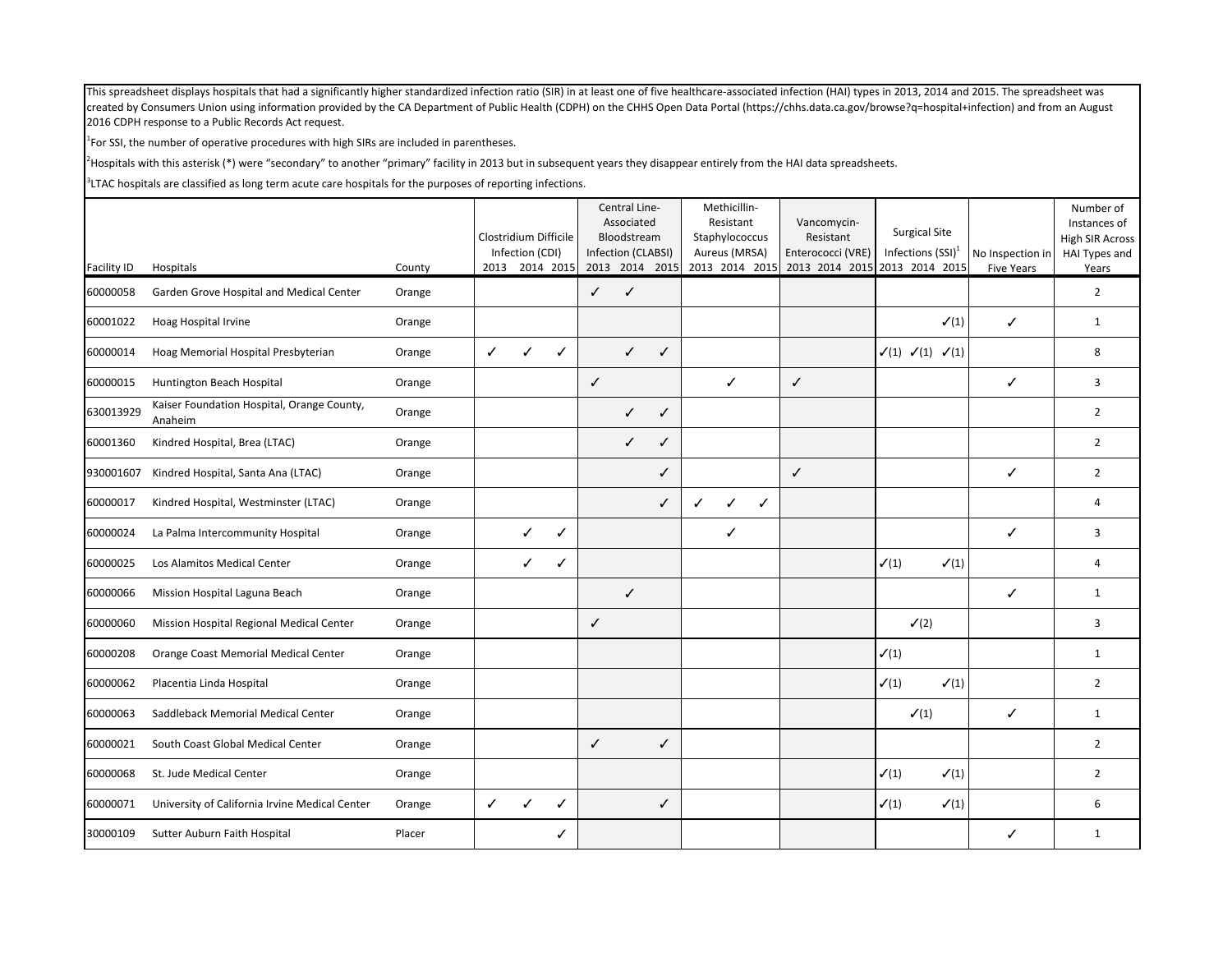$1$ For SSI, the number of operative procedures with high SIRs are included in parentheses.

<sup>2</sup>Hospitals with this asterisk (\*) were "secondary" to another "primary" facility in 2013 but in subsequent years they disappear entirely from the HAI data spreadsheets.

|                    |                                                       |        | Clostridium Difficile | Infection (CDI) |                |              | Central Line-<br>Associated<br>Bloodstream<br>Infection (CLABSI) |   | Methicillin-<br>Resistant<br>Staphylococcus<br>Aureus (MRSA) | Vancomycin-<br>Resistant<br>Enterococci (VRE) | <b>Surgical Site</b><br>Infections $(SSI)^1$    |                  | No Inspection in  | Number of<br>Instances of<br>High SIR Across<br>HAI Types and |
|--------------------|-------------------------------------------------------|--------|-----------------------|-----------------|----------------|--------------|------------------------------------------------------------------|---|--------------------------------------------------------------|-----------------------------------------------|-------------------------------------------------|------------------|-------------------|---------------------------------------------------------------|
| <b>Facility ID</b> | Hospitals                                             | County |                       |                 | 2013 2014 2015 |              | 2013 2014 2015                                                   |   | 2013 2014 2015                                               | 2013 2014 2015 2013 2014 2015                 |                                                 |                  | <b>Five Years</b> | Years                                                         |
| 60000058           | Garden Grove Hospital and Medical Center              | Orange |                       |                 |                | ✓            | $\checkmark$                                                     |   |                                                              |                                               |                                                 |                  |                   | $\overline{2}$                                                |
| 60001022           | Hoag Hospital Irvine                                  | Orange |                       |                 |                |              |                                                                  |   |                                                              |                                               |                                                 | $\checkmark(1)$  | $\checkmark$      | $\mathbf{1}$                                                  |
| 60000014           | Hoag Memorial Hospital Presbyterian                   | Orange | $\checkmark$          | ✓               | ✓              |              | $\checkmark$                                                     | ✓ |                                                              |                                               | $\checkmark(1)$ $\checkmark(1)$ $\checkmark(1)$ |                  |                   | 8                                                             |
| 60000015           | Huntington Beach Hospital                             | Orange |                       |                 |                | $\checkmark$ |                                                                  |   | ✓                                                            | $\checkmark$                                  |                                                 |                  | ✓                 | 3                                                             |
| 630013929          | Kaiser Foundation Hospital, Orange County,<br>Anaheim | Orange |                       |                 |                |              | $\checkmark$                                                     | ✓ |                                                              |                                               |                                                 |                  |                   | $\overline{2}$                                                |
| 60001360           | Kindred Hospital, Brea (LTAC)                         | Orange |                       |                 |                |              | $\checkmark$                                                     | ✓ |                                                              |                                               |                                                 |                  |                   | $\overline{2}$                                                |
| 930001607          | Kindred Hospital, Santa Ana (LTAC)                    | Orange |                       |                 |                |              |                                                                  | ✓ |                                                              | $\checkmark$                                  |                                                 |                  | ✓                 | $\overline{2}$                                                |
| 60000017           | Kindred Hospital, Westminster (LTAC)                  | Orange |                       |                 |                |              |                                                                  | ✓ | $\checkmark$<br>✓<br>✓                                       |                                               |                                                 |                  |                   | 4                                                             |
| 60000024           | La Palma Intercommunity Hospital                      | Orange |                       | ✓               | ✓              |              |                                                                  |   | ✓                                                            |                                               |                                                 |                  | ✓                 | 3                                                             |
| 60000025           | Los Alamitos Medical Center                           | Orange |                       | ✓               | ✓              |              |                                                                  |   |                                                              |                                               | $\checkmark(1)$                                 | $\checkmark$ (1) |                   | $\overline{4}$                                                |
| 60000066           | Mission Hospital Laguna Beach                         | Orange |                       |                 |                |              | $\checkmark$                                                     |   |                                                              |                                               |                                                 |                  | ✓                 | $\mathbf{1}$                                                  |
| 60000060           | Mission Hospital Regional Medical Center              | Orange |                       |                 |                | $\checkmark$ |                                                                  |   |                                                              |                                               | $\checkmark$ (2)                                |                  |                   | 3                                                             |
| 60000208           | Orange Coast Memorial Medical Center                  | Orange |                       |                 |                |              |                                                                  |   |                                                              |                                               | $\checkmark(1)$                                 |                  |                   | $\mathbf{1}$                                                  |
| 60000062           | Placentia Linda Hospital                              | Orange |                       |                 |                |              |                                                                  |   |                                                              |                                               | $\checkmark(1)$                                 | $\checkmark(1)$  |                   | $\overline{2}$                                                |
| 60000063           | Saddleback Memorial Medical Center                    | Orange |                       |                 |                |              |                                                                  |   |                                                              |                                               | $\checkmark(1)$                                 |                  | ✓                 | $\mathbf{1}$                                                  |
| 60000021           | South Coast Global Medical Center                     | Orange |                       |                 |                | $\checkmark$ |                                                                  | ✓ |                                                              |                                               |                                                 |                  |                   | $\overline{2}$                                                |
| 60000068           | St. Jude Medical Center                               | Orange |                       |                 |                |              |                                                                  |   |                                                              |                                               | $\checkmark(1)$                                 | $\checkmark(1)$  |                   | $\overline{2}$                                                |
| 60000071           | University of California Irvine Medical Center        | Orange | ✓                     | ✓               | ✓              |              |                                                                  | ✓ |                                                              |                                               | $\checkmark(1)$                                 | $\checkmark(1)$  |                   | 6                                                             |
| 30000109           | Sutter Auburn Faith Hospital                          | Placer |                       |                 | ℐ              |              |                                                                  |   |                                                              |                                               |                                                 |                  | ✓                 | $\mathbf{1}$                                                  |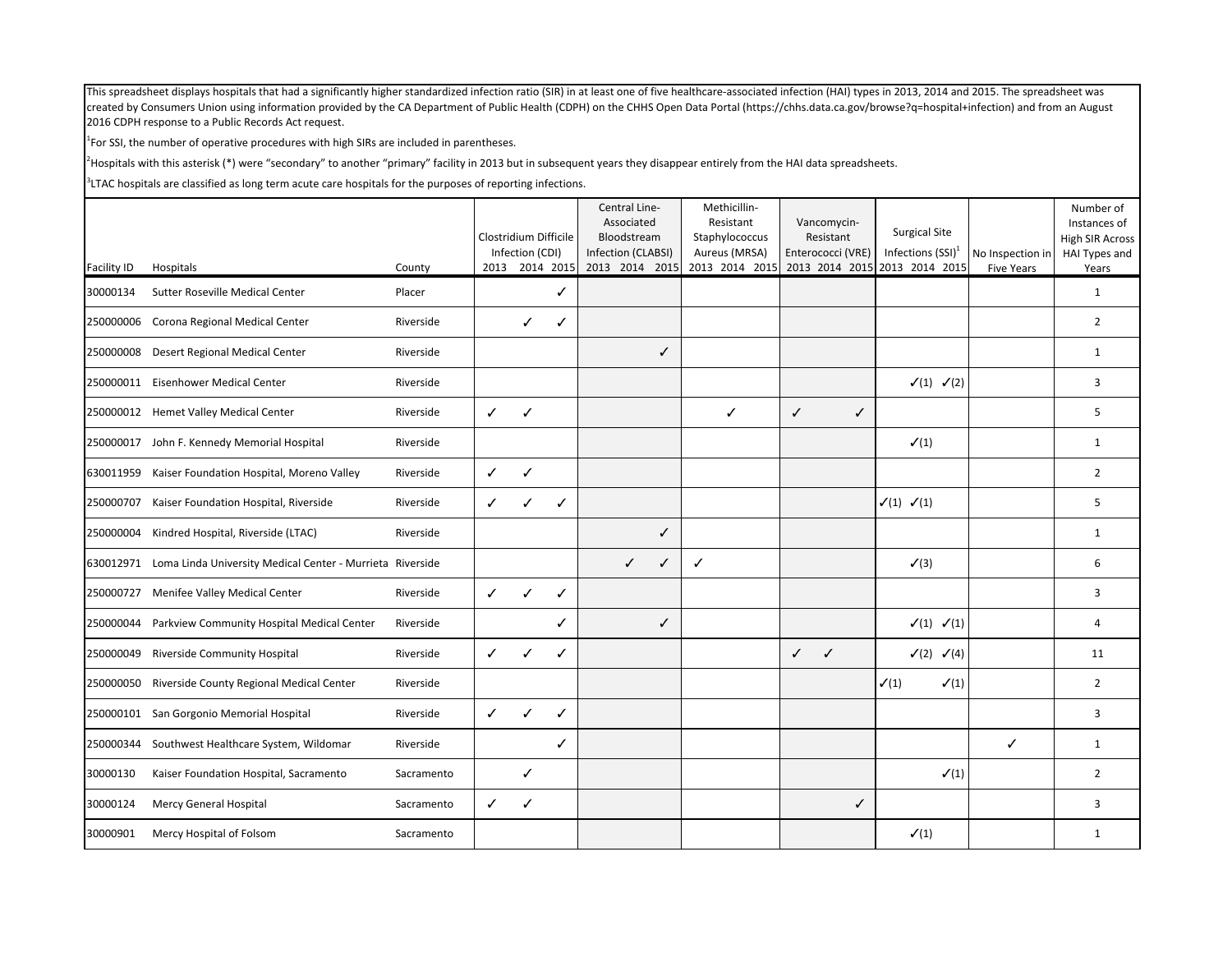$1$ For SSI, the number of operative procedures with high SIRs are included in parentheses.

<sup>2</sup>Hospitals with this asterisk (\*) were "secondary" to another "primary" facility in 2013 but in subsequent years they disappear entirely from the HAI data spreadsheets.

|             |                                                                     |            |                       |                 |                | Central Line-<br>Associated       | Methicillin-<br>Resistant       | Vancomycin-                    | <b>Surgical Site</b>               |                   | Number of<br>Instances of        |
|-------------|---------------------------------------------------------------------|------------|-----------------------|-----------------|----------------|-----------------------------------|---------------------------------|--------------------------------|------------------------------------|-------------------|----------------------------------|
|             |                                                                     |            | Clostridium Difficile | Infection (CDI) |                | Bloodstream<br>Infection (CLABSI) | Staphylococcus<br>Aureus (MRSA) | Resistant<br>Enterococci (VRE) | Infections $(SSI)^1$               | No Inspection in  | High SIR Across<br>HAI Types and |
| Facility ID | Hospitals                                                           | County     |                       |                 | 2013 2014 2015 | 2013 2014 2015                    | 2013 2014 2015                  |                                | 2013 2014 2015 2013 2014 2015      | <b>Five Years</b> | Years                            |
| 30000134    | Sutter Roseville Medical Center                                     | Placer     |                       |                 | ✓              |                                   |                                 |                                |                                    |                   | $\mathbf{1}$                     |
| 250000006   | Corona Regional Medical Center                                      | Riverside  |                       | ✓               | ✓              |                                   |                                 |                                |                                    |                   | $\overline{2}$                   |
| 250000008   | Desert Regional Medical Center                                      | Riverside  |                       |                 |                | ✓                                 |                                 |                                |                                    |                   | $\mathbf{1}$                     |
|             | 250000011 Eisenhower Medical Center                                 | Riverside  |                       |                 |                |                                   |                                 |                                | $\checkmark(1)$ $\checkmark(2)$    |                   | $\overline{3}$                   |
|             | 250000012 Hemet Valley Medical Center                               | Riverside  | $\checkmark$          | ✓               |                |                                   | ✓                               | $\checkmark$<br>$\checkmark$   |                                    |                   | 5                                |
|             | 250000017 John F. Kennedy Memorial Hospital                         | Riverside  |                       |                 |                |                                   |                                 |                                | $\checkmark$ (1)                   |                   | 1                                |
|             | 630011959 Kaiser Foundation Hospital, Moreno Valley                 | Riverside  | $\checkmark$          | ✓               |                |                                   |                                 |                                |                                    |                   | $\overline{2}$                   |
| 250000707   | Kaiser Foundation Hospital, Riverside                               | Riverside  | $\checkmark$          | ✓               | ✓              |                                   |                                 |                                | $\checkmark(1)$ $\checkmark(1)$    |                   | 5                                |
| 250000004   | Kindred Hospital, Riverside (LTAC)                                  | Riverside  |                       |                 |                | ✓                                 |                                 |                                |                                    |                   | 1                                |
|             | 630012971 Loma Linda University Medical Center - Murrieta Riverside |            |                       |                 |                | $\checkmark$<br>✓                 | $\checkmark$                    |                                | $\checkmark$ (3)                   |                   | 6                                |
|             | 250000727 Menifee Valley Medical Center                             | Riverside  | $\checkmark$          | $\checkmark$    | ✓              |                                   |                                 |                                |                                    |                   | 3                                |
| 250000044   | Parkview Community Hospital Medical Center                          | Riverside  |                       |                 | ✓              | ✓                                 |                                 |                                | $\checkmark(1)$ $\checkmark(1)$    |                   | 4                                |
| 250000049   | Riverside Community Hospital                                        | Riverside  | $\checkmark$          | ✓               | ✓              |                                   |                                 | $\checkmark$<br>$\checkmark$   | $\checkmark$ (2) $\checkmark$ (4)  |                   | 11                               |
| 250000050   | Riverside County Regional Medical Center                            | Riverside  |                       |                 |                |                                   |                                 |                                | $\checkmark(1)$<br>$\checkmark(1)$ |                   | $\overline{2}$                   |
|             | 250000101 San Gorgonio Memorial Hospital                            | Riverside  | $\checkmark$          | ✓               | ✓              |                                   |                                 |                                |                                    |                   | 3                                |
| 250000344   | Southwest Healthcare System, Wildomar                               | Riverside  |                       |                 | ✓              |                                   |                                 |                                |                                    | ✓                 | 1                                |
| 30000130    | Kaiser Foundation Hospital, Sacramento                              | Sacramento |                       | ✓               |                |                                   |                                 |                                | $\checkmark$ (1)                   |                   | $\overline{2}$                   |
| 30000124    | Mercy General Hospital                                              | Sacramento | $\checkmark$          | ✓               |                |                                   |                                 | ✓                              |                                    |                   | 3                                |
| 30000901    | Mercy Hospital of Folsom                                            | Sacramento |                       |                 |                |                                   |                                 |                                | $\checkmark(1)$                    |                   | 1                                |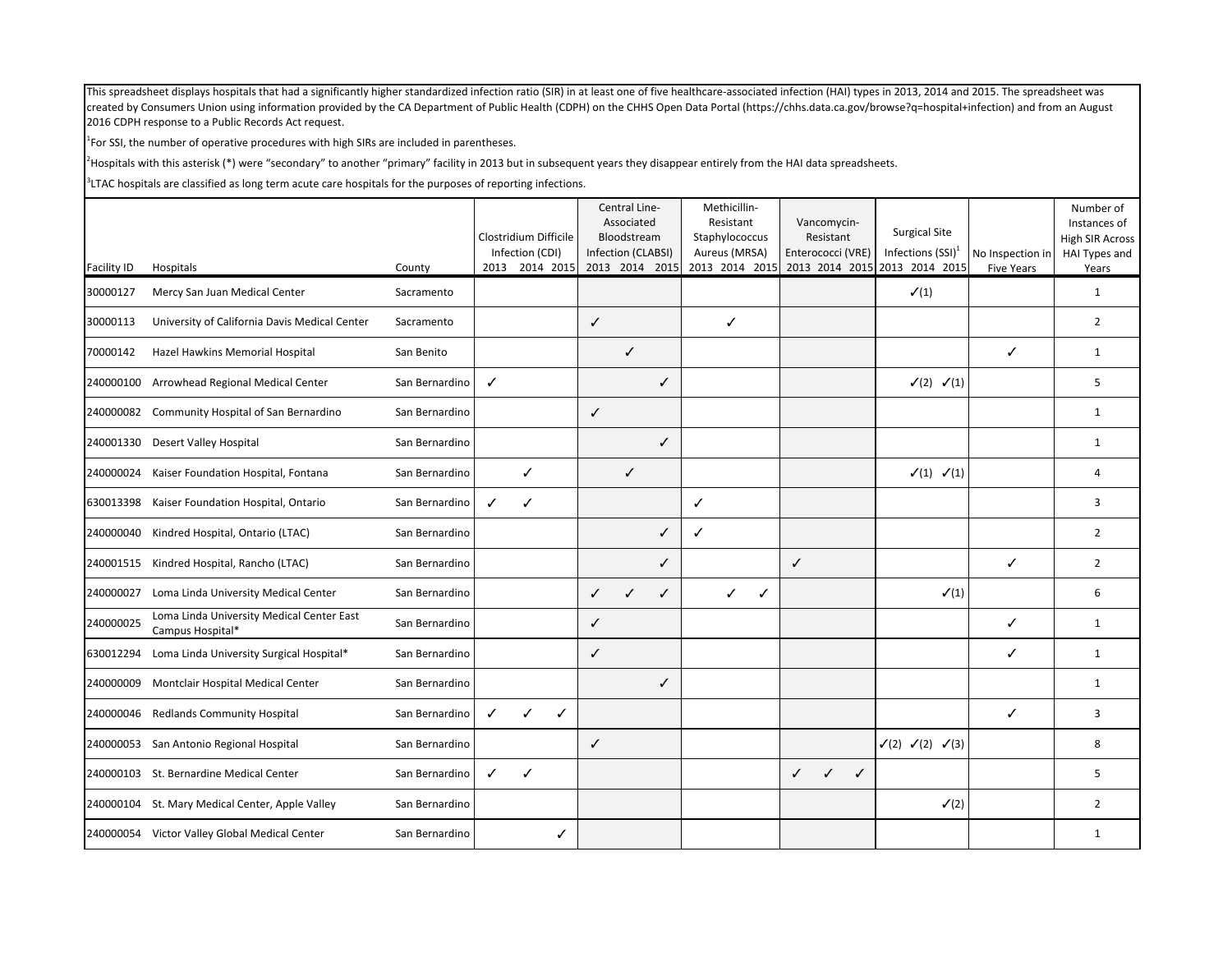$<sup>1</sup>$  For SSI, the number of operative procedures with high SIRs are included in parentheses.</sup>

<sup>2</sup>Hospitals with this asterisk (\*) were "secondary" to another "primary" facility in 2013 but in subsequent years they disappear entirely from the HAI data spreadsheets.

|             |                                                               |                |                                   | Central Line-<br>Associated       | Methicillin-<br>Resistant       | Vancomycin-                                  |                                              |                                       | Number of<br>Instances of |
|-------------|---------------------------------------------------------------|----------------|-----------------------------------|-----------------------------------|---------------------------------|----------------------------------------------|----------------------------------------------|---------------------------------------|---------------------------|
|             |                                                               |                | Clostridium Difficile             | Bloodstream<br>Infection (CLABSI) | Staphylococcus                  | Resistant                                    | <b>Surgical Site</b><br>Infections $(SSI)^1$ |                                       | High SIR Across           |
| Facility ID | Hospitals                                                     | County         | Infection (CDI)<br>2013 2014 2015 | 2013 2014 2015                    | Aureus (MRSA)<br>2013 2014 2015 | Enterococci (VRE)                            | 2013 2014 2015 2013 2014 2015                | No Inspection in<br><b>Five Years</b> | HAI Types and<br>Years    |
| 30000127    | Mercy San Juan Medical Center                                 | Sacramento     |                                   |                                   |                                 |                                              | $\checkmark(1)$                              |                                       | $\mathbf{1}$              |
| 30000113    | University of California Davis Medical Center                 | Sacramento     |                                   | $\checkmark$                      | ✓                               |                                              |                                              |                                       | $\overline{2}$            |
| 70000142    | Hazel Hawkins Memorial Hospital                               | San Benito     |                                   | $\checkmark$                      |                                 |                                              |                                              | ✓                                     | $\mathbf{1}$              |
|             | 240000100 Arrowhead Regional Medical Center                   | San Bernardino | $\checkmark$                      | ✓                                 |                                 |                                              | $\checkmark$ (2) $\checkmark$ (1)            |                                       | 5                         |
| 240000082   | Community Hospital of San Bernardino                          | San Bernardino |                                   | $\checkmark$                      |                                 |                                              |                                              |                                       | $\mathbf{1}$              |
| 240001330   | Desert Valley Hospital                                        | San Bernardino |                                   | ✓                                 |                                 |                                              |                                              |                                       | $\mathbf{1}$              |
| 240000024   | Kaiser Foundation Hospital, Fontana                           | San Bernardino | ✓                                 | $\checkmark$                      |                                 |                                              | $\checkmark(1)$ $\checkmark(1)$              |                                       | 4                         |
| 630013398   | Kaiser Foundation Hospital, Ontario                           | San Bernardino | $\checkmark$<br>$\checkmark$      |                                   | $\checkmark$                    |                                              |                                              |                                       | 3                         |
| 240000040   | Kindred Hospital, Ontario (LTAC)                              | San Bernardino |                                   | ✓                                 | ✓                               |                                              |                                              |                                       | $\overline{2}$            |
|             | 240001515 Kindred Hospital, Rancho (LTAC)                     | San Bernardino |                                   | ✓                                 |                                 | $\checkmark$                                 |                                              | $\checkmark$                          | $\overline{2}$            |
| 240000027   | Loma Linda University Medical Center                          | San Bernardino |                                   | $\checkmark$<br>$\checkmark$<br>✓ | ✓<br>✓                          |                                              | $\checkmark(1)$                              |                                       | 6                         |
| 240000025   | Loma Linda University Medical Center East<br>Campus Hospital* | San Bernardino |                                   | $\checkmark$                      |                                 |                                              |                                              | $\checkmark$                          | $\mathbf{1}$              |
| 630012294   | Loma Linda University Surgical Hospital*                      | San Bernardino |                                   | ✓                                 |                                 |                                              |                                              | ✓                                     | $\mathbf{1}$              |
| 240000009   | Montclair Hospital Medical Center                             | San Bernardino |                                   | ✓                                 |                                 |                                              |                                              |                                       | $\mathbf{1}$              |
| 240000046   | <b>Redlands Community Hospital</b>                            | San Bernardino | ✓<br>✓<br>✓                       |                                   |                                 |                                              |                                              | ✓                                     | 3                         |
|             | 240000053 San Antonio Regional Hospital                       | San Bernardino |                                   | ✓                                 |                                 |                                              | $\checkmark(2) \checkmark(2) \checkmark(3)$  |                                       | 8                         |
| 240000103   | St. Bernardine Medical Center                                 | San Bernardino | $\checkmark$<br>$\checkmark$      |                                   |                                 | $\checkmark$<br>$\checkmark$<br>$\checkmark$ |                                              |                                       | 5                         |
| 240000104   | St. Mary Medical Center, Apple Valley                         | San Bernardino |                                   |                                   |                                 |                                              | $\checkmark$ (2)                             |                                       | $\overline{2}$            |
|             | 240000054 Victor Valley Global Medical Center                 | San Bernardino | ✓                                 |                                   |                                 |                                              |                                              |                                       | 1                         |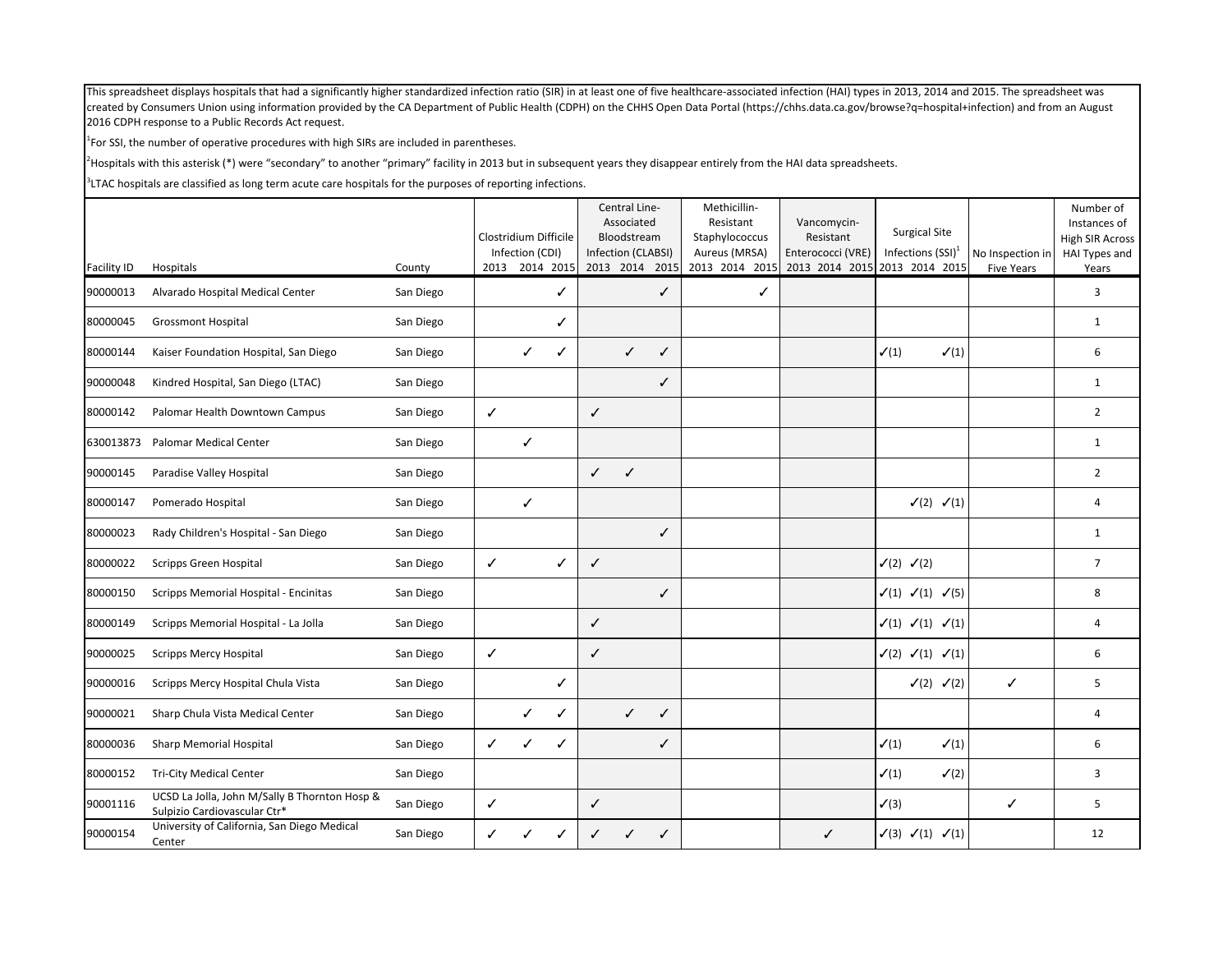$<sup>1</sup>$  For SSI, the number of operative procedures with high SIRs are included in parentheses.</sup>

<sup>2</sup>Hospitals with this asterisk (\*) were "secondary" to another "primary" facility in 2013 but in subsequent years they disappear entirely from the HAI data spreadsheets.

|                    |                                                                               |           | Clostridium Difficile | Infection (CDI) |                |              | Central Line-<br>Associated<br>Bloodstream<br>Infection (CLABSI) |      | Methicillin-<br>Resistant<br>Staphylococcus<br>Aureus (MRSA) | Vancomycin-<br>Resistant<br>Enterococci (VRE) | <b>Surgical Site</b><br>Infections $(SSI)^1$       | No Inspection in  | Number of<br>Instances of<br><b>High SIR Across</b><br>HAI Types and |
|--------------------|-------------------------------------------------------------------------------|-----------|-----------------------|-----------------|----------------|--------------|------------------------------------------------------------------|------|--------------------------------------------------------------|-----------------------------------------------|----------------------------------------------------|-------------------|----------------------------------------------------------------------|
| <b>Facility ID</b> | Hospitals                                                                     | County    |                       |                 | 2013 2014 2015 |              | 2013 2014                                                        | 2015 | 2013 2014 2015                                               | 2013 2014 2015 2013 2014 2015                 |                                                    | <b>Five Years</b> | Years                                                                |
| 90000013           | Alvarado Hospital Medical Center                                              | San Diego |                       |                 | ✓              |              |                                                                  | ✓    | ✓                                                            |                                               |                                                    |                   | 3                                                                    |
| 80000045           | <b>Grossmont Hospital</b>                                                     | San Diego |                       |                 | ✓              |              |                                                                  |      |                                                              |                                               |                                                    |                   | $\mathbf{1}$                                                         |
| 80000144           | Kaiser Foundation Hospital, San Diego                                         | San Diego |                       | ✓               | ✓              |              | $\checkmark$                                                     | ✓    |                                                              |                                               | $\checkmark(1)$<br>$\checkmark(1)$                 |                   | 6                                                                    |
| 90000048           | Kindred Hospital, San Diego (LTAC)                                            | San Diego |                       |                 |                |              |                                                                  | ✓    |                                                              |                                               |                                                    |                   | $\mathbf{1}$                                                         |
| 80000142           | Palomar Health Downtown Campus                                                | San Diego | $\checkmark$          |                 |                | ✓            |                                                                  |      |                                                              |                                               |                                                    |                   | $\overline{2}$                                                       |
| 630013873          | <b>Palomar Medical Center</b>                                                 | San Diego |                       | $\checkmark$    |                |              |                                                                  |      |                                                              |                                               |                                                    |                   | $\mathbf{1}$                                                         |
| 90000145           | Paradise Valley Hospital                                                      | San Diego |                       |                 |                | ✓            | $\checkmark$                                                     |      |                                                              |                                               |                                                    |                   | $\overline{2}$                                                       |
| 80000147           | Pomerado Hospital                                                             | San Diego |                       | ✓               |                |              |                                                                  |      |                                                              |                                               | $\checkmark(2)$ $\checkmark(1)$                    |                   | 4                                                                    |
| 80000023           | Rady Children's Hospital - San Diego                                          | San Diego |                       |                 |                |              |                                                                  | ✓    |                                                              |                                               |                                                    |                   | 1                                                                    |
| 80000022           | <b>Scripps Green Hospital</b>                                                 | San Diego | $\checkmark$          |                 | $\checkmark$   | $\checkmark$ |                                                                  |      |                                                              |                                               | $\checkmark$ (2) $\checkmark$ (2)                  |                   | $\overline{7}$                                                       |
| 80000150           | Scripps Memorial Hospital - Encinitas                                         | San Diego |                       |                 |                |              |                                                                  | ✓    |                                                              |                                               | $\checkmark(1)$ $\checkmark(1)$ $\checkmark(5)$    |                   | 8                                                                    |
| 80000149           | Scripps Memorial Hospital - La Jolla                                          | San Diego |                       |                 |                | ✓            |                                                                  |      |                                                              |                                               | $\checkmark(1)$ $\checkmark(1)$ $\checkmark(1)$    |                   | 4                                                                    |
| 90000025           | <b>Scripps Mercy Hospital</b>                                                 | San Diego | $\checkmark$          |                 |                | ✓            |                                                                  |      |                                                              |                                               | $\checkmark$ (2) $\checkmark$ (1) $\checkmark$ (1) |                   | 6                                                                    |
| 90000016           | Scripps Mercy Hospital Chula Vista                                            | San Diego |                       |                 | ✓              |              |                                                                  |      |                                                              |                                               | $\checkmark$ (2) $\checkmark$ (2)                  | $\checkmark$      | 5                                                                    |
| 90000021           | Sharp Chula Vista Medical Center                                              | San Diego |                       | ✓               | ✓              |              | $\checkmark$                                                     | ✓    |                                                              |                                               |                                                    |                   | 4                                                                    |
| 80000036           | <b>Sharp Memorial Hospital</b>                                                | San Diego | $\checkmark$          | ✓               | ✓              |              |                                                                  | ✓    |                                                              |                                               | $\checkmark(1)$<br>$\checkmark(1)$                 |                   | 6                                                                    |
| 80000152           | <b>Tri-City Medical Center</b>                                                | San Diego |                       |                 |                |              |                                                                  |      |                                                              |                                               | $\checkmark(1)$<br>$\checkmark$ (2)                |                   | 3                                                                    |
| 90001116           | UCSD La Jolla, John M/Sally B Thornton Hosp &<br>Sulpizio Cardiovascular Ctr* | San Diego | $\checkmark$          |                 |                | ✓            |                                                                  |      |                                                              |                                               | $\checkmark$ (3)                                   | ✓                 | 5                                                                    |
| 90000154           | University of California, San Diego Medical<br>Center                         | San Diego | ✓                     | ✓               |                | ✓            |                                                                  | ✓    |                                                              | ✓                                             | $\checkmark$ (3) $\checkmark$ (1) $\checkmark$ (1) |                   | 12                                                                   |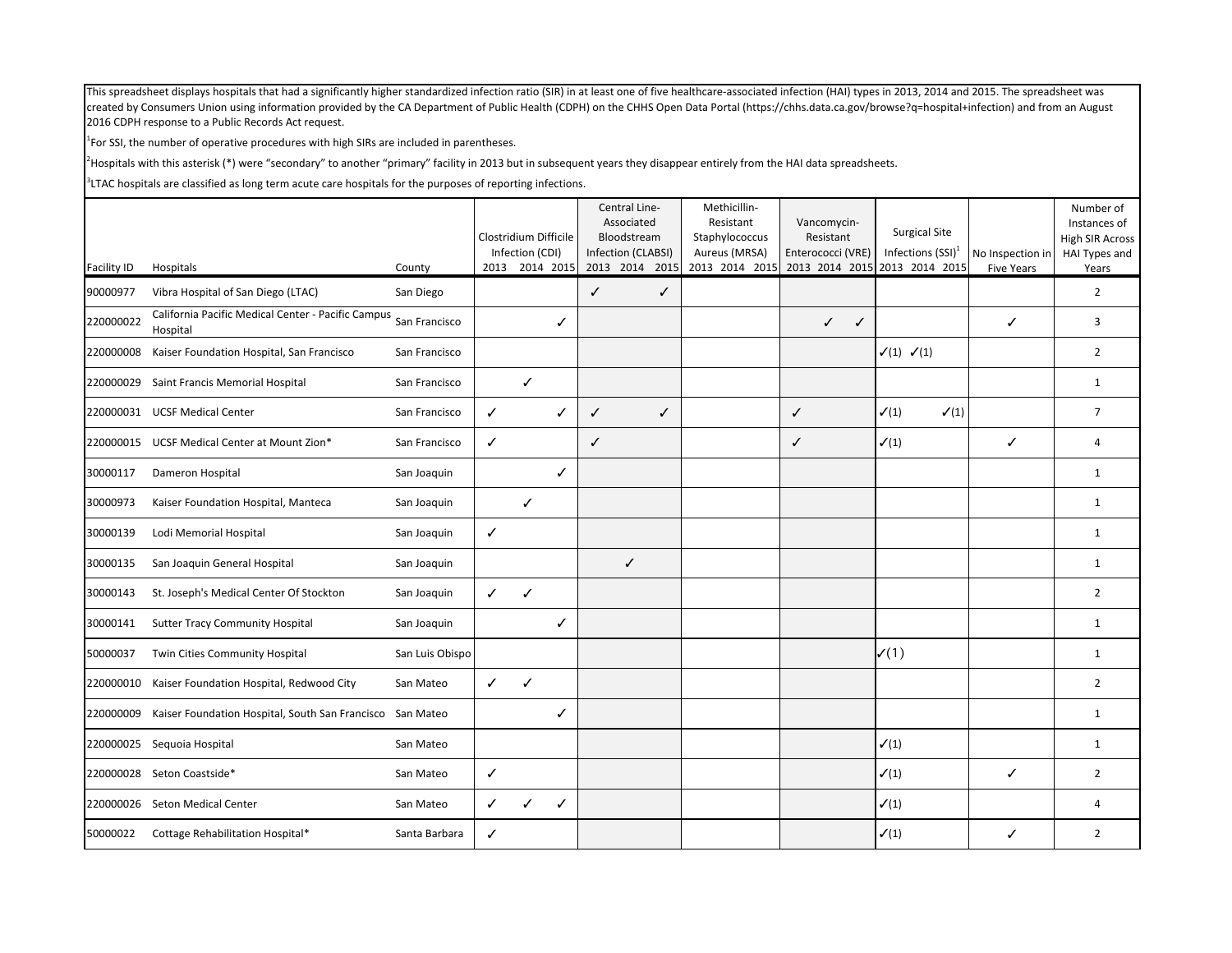$<sup>1</sup>$  For SSI, the number of operative procedures with high SIRs are included in parentheses.</sup>

<sup>2</sup>Hospitals with this asterisk (\*) were "secondary" to another "primary" facility in 2013 but in subsequent years they disappear entirely from the HAI data spreadsheets.

| <b>Facility ID</b> | Hospitals                                                      | County          |              | Clostridium Difficile<br>Infection (CDI)<br>2013 2014 2015 |   | Central Line-<br>Associated<br>Bloodstream<br>Infection (CLABSI)<br>2013 2014 2015 |              | Methicillin-<br>Resistant<br>Staphylococcus<br>Aureus (MRSA)<br>2013 2014 2015 |              | Vancomycin-<br>Resistant<br>Enterococci (VRE) |                                 | <b>Surgical Site</b><br>Infections $(SSI)^1$<br>2013 2014 2015 2013 2014 2015 | No Inspection in  | Number of<br>Instances of<br><b>High SIR Across</b><br>HAI Types and |
|--------------------|----------------------------------------------------------------|-----------------|--------------|------------------------------------------------------------|---|------------------------------------------------------------------------------------|--------------|--------------------------------------------------------------------------------|--------------|-----------------------------------------------|---------------------------------|-------------------------------------------------------------------------------|-------------------|----------------------------------------------------------------------|
| 90000977           | Vibra Hospital of San Diego (LTAC)                             | San Diego       |              |                                                            |   | $\checkmark$                                                                       | $\checkmark$ |                                                                                |              |                                               |                                 |                                                                               | <b>Five Years</b> | Years<br>$\overline{2}$                                              |
| 220000022          | California Pacific Medical Center - Pacific Campus<br>Hospital | San Francisco   |              |                                                            | ✓ |                                                                                    |              |                                                                                |              | $\checkmark$<br>✓                             |                                 |                                                                               | ✓                 | 3                                                                    |
| 220000008          | Kaiser Foundation Hospital, San Francisco                      | San Francisco   |              |                                                            |   |                                                                                    |              |                                                                                |              |                                               | $\checkmark(1)$ $\checkmark(1)$ |                                                                               |                   | $\overline{2}$                                                       |
| 220000029          | Saint Francis Memorial Hospital                                | San Francisco   |              | $\checkmark$                                               |   |                                                                                    |              |                                                                                |              |                                               |                                 |                                                                               |                   | $\mathbf{1}$                                                         |
|                    | 220000031 UCSF Medical Center                                  | San Francisco   | ✓            |                                                            | ✓ | $\checkmark$                                                                       | ✓            |                                                                                | $\checkmark$ |                                               | $\checkmark(1)$                 | $\checkmark(1)$                                                               |                   | $\overline{7}$                                                       |
| 220000015          | UCSF Medical Center at Mount Zion*                             | San Francisco   | ✓            |                                                            |   | $\checkmark$                                                                       |              |                                                                                | $\checkmark$ |                                               | $\checkmark(1)$                 |                                                                               | ✓                 | $\overline{4}$                                                       |
| 30000117           | Dameron Hospital                                               | San Joaquin     |              |                                                            | ✓ |                                                                                    |              |                                                                                |              |                                               |                                 |                                                                               |                   | $\mathbf{1}$                                                         |
| 30000973           | Kaiser Foundation Hospital, Manteca                            | San Joaquin     |              | $\checkmark$                                               |   |                                                                                    |              |                                                                                |              |                                               |                                 |                                                                               |                   | $\mathbf{1}$                                                         |
| 30000139           | Lodi Memorial Hospital                                         | San Joaquin     | ✓            |                                                            |   |                                                                                    |              |                                                                                |              |                                               |                                 |                                                                               |                   | $\mathbf{1}$                                                         |
| 30000135           | San Joaquin General Hospital                                   | San Joaquin     |              |                                                            |   | $\checkmark$                                                                       |              |                                                                                |              |                                               |                                 |                                                                               |                   | $\mathbf{1}$                                                         |
| 30000143           | St. Joseph's Medical Center Of Stockton                        | San Joaquin     | $\checkmark$ | $\checkmark$                                               |   |                                                                                    |              |                                                                                |              |                                               |                                 |                                                                               |                   | $\overline{2}$                                                       |
| 30000141           | <b>Sutter Tracy Community Hospital</b>                         | San Joaquin     |              |                                                            | ✓ |                                                                                    |              |                                                                                |              |                                               |                                 |                                                                               |                   | $\mathbf{1}$                                                         |
| 50000037           | Twin Cities Community Hospital                                 | San Luis Obispo |              |                                                            |   |                                                                                    |              |                                                                                |              |                                               | $\mathcal{V}(1)$                |                                                                               |                   | $\mathbf{1}$                                                         |
| 220000010          | Kaiser Foundation Hospital, Redwood City                       | San Mateo       | $\checkmark$ | $\checkmark$                                               |   |                                                                                    |              |                                                                                |              |                                               |                                 |                                                                               |                   | $\overline{2}$                                                       |
| 220000009          | Kaiser Foundation Hospital, South San Francisco San Mateo      |                 |              |                                                            | ✓ |                                                                                    |              |                                                                                |              |                                               |                                 |                                                                               |                   | $\mathbf{1}$                                                         |
|                    | 220000025 Sequoia Hospital                                     | San Mateo       |              |                                                            |   |                                                                                    |              |                                                                                |              |                                               | $\checkmark(1)$                 |                                                                               |                   | $\mathbf{1}$                                                         |
| 220000028          | Seton Coastside*                                               | San Mateo       | ✓            |                                                            |   |                                                                                    |              |                                                                                |              |                                               | $\checkmark(1)$                 |                                                                               | ✓                 | $\overline{2}$                                                       |
| 220000026          | Seton Medical Center                                           | San Mateo       | ✓            |                                                            | ✓ |                                                                                    |              |                                                                                |              |                                               | $\checkmark(1)$                 |                                                                               |                   | $\overline{4}$                                                       |
| 50000022           | Cottage Rehabilitation Hospital*                               | Santa Barbara   | ✓            |                                                            |   |                                                                                    |              |                                                                                |              |                                               | $\checkmark(1)$                 |                                                                               | ✓                 | $\overline{2}$                                                       |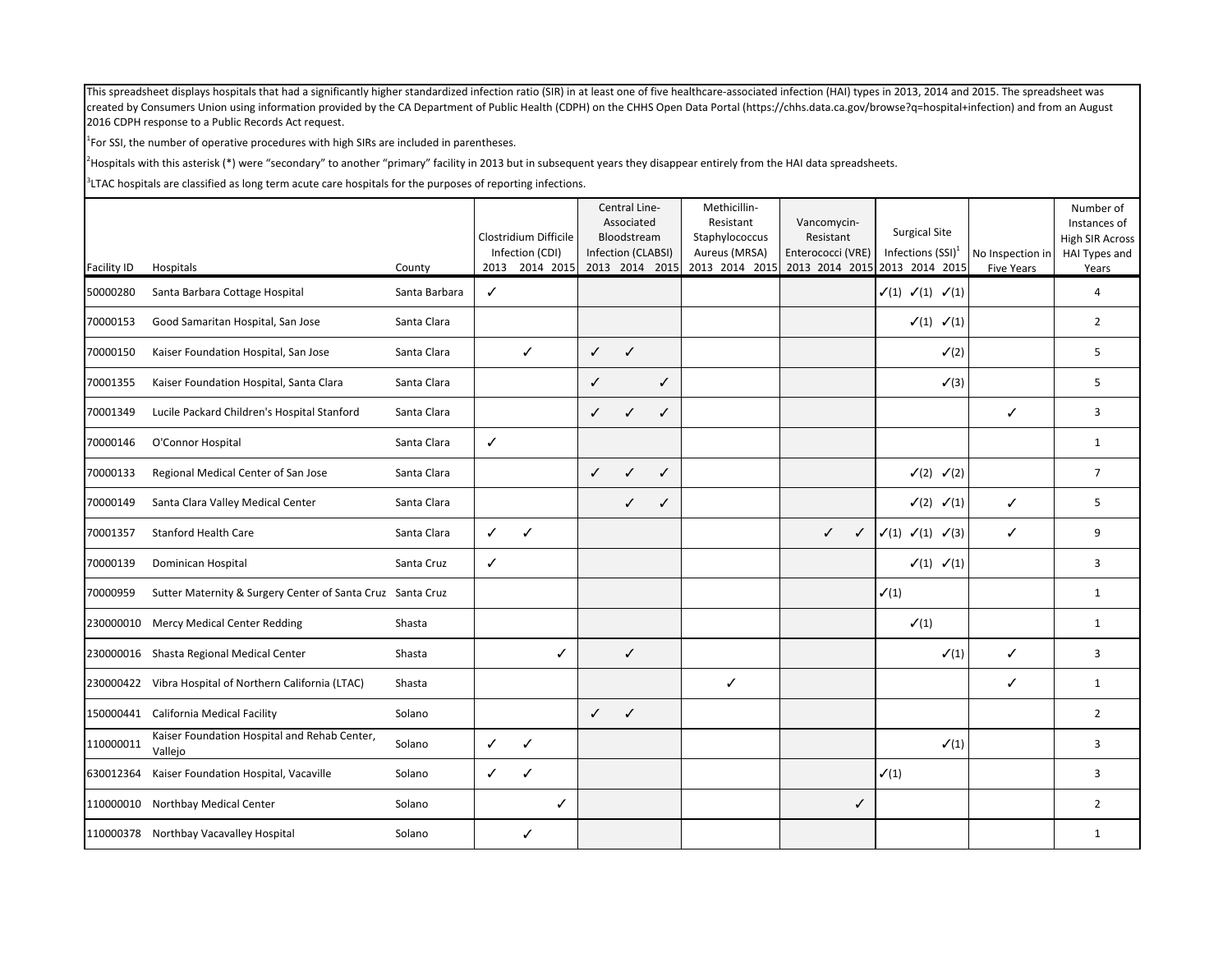$<sup>1</sup>$  For SSI, the number of operative procedures with high SIRs are included in parentheses.</sup>

<sup>2</sup>Hospitals with this asterisk (\*) were "secondary" to another "primary" facility in 2013 but in subsequent years they disappear entirely from the HAI data spreadsheets.

|             |                                                            |               |              | Clostridium Difficile             |              | Central Line-<br>Associated<br>Bloodstream |              | Methicillin-<br>Resistant<br>Staphylococcus | Vancomycin-<br>Resistant | <b>Surgical Site</b>                                  |                                       | Number of<br>Instances of<br>High SIR Across |
|-------------|------------------------------------------------------------|---------------|--------------|-----------------------------------|--------------|--------------------------------------------|--------------|---------------------------------------------|--------------------------|-------------------------------------------------------|---------------------------------------|----------------------------------------------|
| Facility ID | Hospitals                                                  | County        |              | Infection (CDI)<br>2013 2014 2015 |              | Infection (CLABSI)<br>2013 2014 2015       |              | Aureus (MRSA)<br>2013 2014 2015             | Enterococci (VRE)        | Infections $(SSI)^1$<br>2013 2014 2015 2013 2014 2015 | No Inspection in<br><b>Five Years</b> | HAI Types and<br>Years                       |
| 50000280    | Santa Barbara Cottage Hospital                             | Santa Barbara | ✓            |                                   |              |                                            |              |                                             |                          | $\checkmark(1)$ $\checkmark(1)$ $\checkmark(1)$       |                                       | $\overline{4}$                               |
| 70000153    | Good Samaritan Hospital, San Jose                          | Santa Clara   |              |                                   |              |                                            |              |                                             |                          | $\checkmark(1)$ $\checkmark(1)$                       |                                       | $\overline{2}$                               |
| 70000150    | Kaiser Foundation Hospital, San Jose                       | Santa Clara   |              | $\checkmark$                      | $\checkmark$ | $\checkmark$                               |              |                                             |                          | $\checkmark$ (2)                                      |                                       | 5                                            |
| 70001355    | Kaiser Foundation Hospital, Santa Clara                    | Santa Clara   |              |                                   | $\checkmark$ |                                            | $\checkmark$ |                                             |                          | $\checkmark$ (3)                                      |                                       | 5                                            |
| 70001349    | Lucile Packard Children's Hospital Stanford                | Santa Clara   |              |                                   | $\checkmark$ | $\checkmark$                               | ✓            |                                             |                          |                                                       | ✓                                     | 3                                            |
| 70000146    | O'Connor Hospital                                          | Santa Clara   | ✓            |                                   |              |                                            |              |                                             |                          |                                                       |                                       | $\mathbf{1}$                                 |
| 70000133    | Regional Medical Center of San Jose                        | Santa Clara   |              |                                   | $\checkmark$ | $\checkmark$                               | ✓            |                                             |                          | $\checkmark$ (2) $\checkmark$ (2)                     |                                       | $\overline{7}$                               |
| 70000149    | Santa Clara Valley Medical Center                          | Santa Clara   |              |                                   |              | ✓                                          | ✓            |                                             |                          | $\checkmark$ (2) $\checkmark$ (1)                     | $\checkmark$                          | 5                                            |
| 70001357    | <b>Stanford Health Care</b>                                | Santa Clara   | ✓            | $\checkmark$                      |              |                                            |              |                                             | $\checkmark$<br>✓        | $\checkmark(1)$ $\checkmark(3)$<br>$\checkmark(1)$    | ✓                                     | 9                                            |
| 70000139    | Dominican Hospital                                         | Santa Cruz    | $\checkmark$ |                                   |              |                                            |              |                                             |                          | $\checkmark(1)$ $\checkmark(1)$                       |                                       | 3                                            |
| 70000959    | Sutter Maternity & Surgery Center of Santa Cruz Santa Cruz |               |              |                                   |              |                                            |              |                                             |                          | $\checkmark(1)$                                       |                                       | $\mathbf{1}$                                 |
|             | 230000010 Mercy Medical Center Redding                     | Shasta        |              |                                   |              |                                            |              |                                             |                          | $\checkmark(1)$                                       |                                       | $\mathbf{1}$                                 |
|             | 230000016 Shasta Regional Medical Center                   | Shasta        |              | ✓                                 |              | $\checkmark$                               |              |                                             |                          | $\checkmark(1)$                                       | ✓                                     | 3                                            |
|             | 230000422 Vibra Hospital of Northern California (LTAC)     | Shasta        |              |                                   |              |                                            |              | ✓                                           |                          |                                                       | ✓                                     | $\mathbf{1}$                                 |
|             | 150000441 California Medical Facility                      | Solano        |              |                                   | $\checkmark$ | $\checkmark$                               |              |                                             |                          |                                                       |                                       | $\overline{2}$                               |
| 110000011   | Kaiser Foundation Hospital and Rehab Center,<br>Vallejo    | Solano        | ✓            | ✓                                 |              |                                            |              |                                             |                          | $\checkmark(1)$                                       |                                       | 3                                            |
| 630012364   | Kaiser Foundation Hospital, Vacaville                      | Solano        | ✓            | $\checkmark$                      |              |                                            |              |                                             |                          | $\checkmark(1)$                                       |                                       | 3                                            |
| 110000010   | Northbay Medical Center                                    | Solano        |              | ✓                                 |              |                                            |              |                                             | ✓                        |                                                       |                                       | $\overline{2}$                               |
|             | 110000378 Northbay Vacavalley Hospital                     | Solano        |              | ✓                                 |              |                                            |              |                                             |                          |                                                       |                                       | $\mathbf{1}$                                 |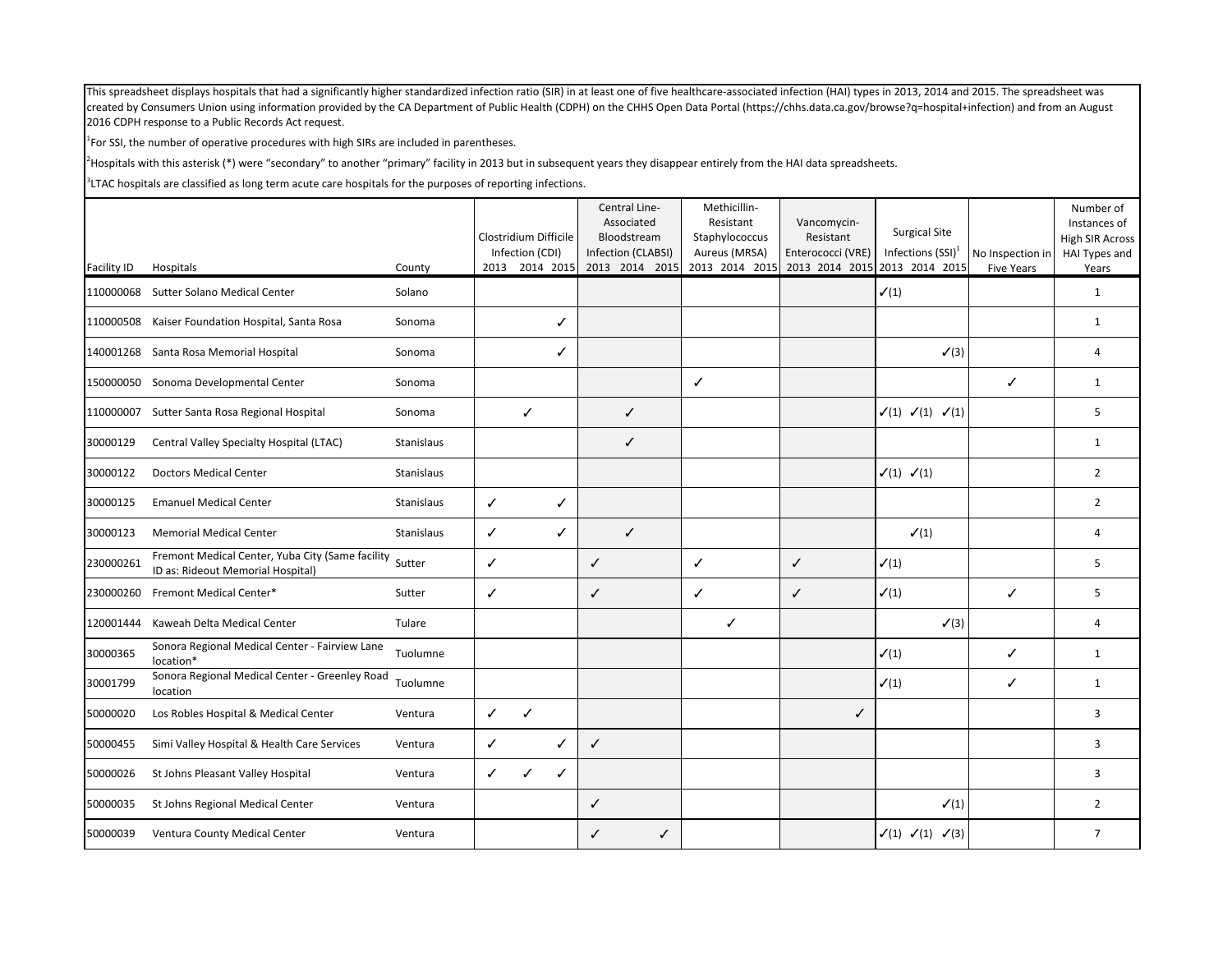$<sup>1</sup>$  For SSI, the number of operative procedures with high SIRs are included in parentheses.</sup>

<sup>2</sup>Hospitals with this asterisk (\*) were "secondary" to another "primary" facility in 2013 but in subsequent years they disappear entirely from the HAI data spreadsheets.

|                    |                                                                                       |            |              |                                          | Central Line-<br>Associated       | Methicillin-<br>Resistant       | Vancomycin-                    | <b>Surgical Site</b>                               |                   | Number of<br>Instances of        |
|--------------------|---------------------------------------------------------------------------------------|------------|--------------|------------------------------------------|-----------------------------------|---------------------------------|--------------------------------|----------------------------------------------------|-------------------|----------------------------------|
|                    |                                                                                       |            |              | Clostridium Difficile<br>Infection (CDI) | Bloodstream<br>Infection (CLABSI) | Staphylococcus<br>Aureus (MRSA) | Resistant<br>Enterococci (VRE) | Infections $(SSI)^1$                               | No Inspection in  | High SIR Across<br>HAI Types and |
| <b>Facility ID</b> | Hospitals                                                                             | County     |              | 2013 2014 2015                           | 2013 2014 2015                    | 2013 2014 2015                  | 2013 2014 2015 2013 2014 2015  |                                                    | <b>Five Years</b> | Years                            |
| 110000068          | Sutter Solano Medical Center                                                          | Solano     |              |                                          |                                   |                                 |                                | $\checkmark(1)$                                    |                   | $\mathbf{1}$                     |
| 110000508          | Kaiser Foundation Hospital, Santa Rosa                                                | Sonoma     |              | ✓                                        |                                   |                                 |                                |                                                    |                   | $\mathbf{1}$                     |
|                    | 140001268 Santa Rosa Memorial Hospital                                                | Sonoma     |              | ✓                                        |                                   |                                 |                                | $\checkmark$ (3)                                   |                   | $\overline{4}$                   |
|                    | 150000050 Sonoma Developmental Center                                                 | Sonoma     |              |                                          |                                   | $\checkmark$                    |                                |                                                    | ✓                 | $\mathbf{1}$                     |
| 110000007          | Sutter Santa Rosa Regional Hospital                                                   | Sonoma     |              | ✓                                        | ✓                                 |                                 |                                | $\checkmark(1)$ $\checkmark(1)$ $\checkmark(1)$    |                   | 5                                |
| 30000129           | Central Valley Specialty Hospital (LTAC)                                              | Stanislaus |              |                                          | ✓                                 |                                 |                                |                                                    |                   | 1                                |
| 30000122           | <b>Doctors Medical Center</b>                                                         | Stanislaus |              |                                          |                                   |                                 |                                | $\checkmark(1)$ $\checkmark(1)$                    |                   | $\overline{2}$                   |
| 30000125           | <b>Emanuel Medical Center</b>                                                         | Stanislaus | ✓            | ✓                                        |                                   |                                 |                                |                                                    |                   | $\overline{2}$                   |
| 30000123           | <b>Memorial Medical Center</b>                                                        | Stanislaus | $\checkmark$ | ✓                                        | ✓                                 |                                 |                                | $\checkmark(1)$                                    |                   | $\overline{4}$                   |
| 230000261          | Fremont Medical Center, Yuba City (Same facility<br>ID as: Rideout Memorial Hospital) | Sutter     | $\checkmark$ |                                          | $\checkmark$                      | $\checkmark$                    | $\checkmark$                   | $\checkmark(1)$                                    |                   | 5                                |
| 230000260          | Fremont Medical Center*                                                               | Sutter     | ✓            |                                          | $\checkmark$                      | $\checkmark$                    | $\checkmark$                   | $\checkmark(1)$                                    | ✓                 | 5                                |
| 120001444          | Kaweah Delta Medical Center                                                           | Tulare     |              |                                          |                                   | ✓                               |                                | $\checkmark$ (3)                                   |                   | 4                                |
| 30000365           | Sonora Regional Medical Center - Fairview Lane<br>location*                           | Tuolumne   |              |                                          |                                   |                                 |                                | $\checkmark(1)$                                    | ✓                 | $\mathbf{1}$                     |
| 30001799           | Sonora Regional Medical Center - Greenley Road<br>location                            | Tuolumne   |              |                                          |                                   |                                 |                                | $\checkmark(1)$                                    | ✓                 | $\mathbf{1}$                     |
| 50000020           | Los Robles Hospital & Medical Center                                                  | Ventura    | $\checkmark$ | $\checkmark$                             |                                   |                                 | ✓                              |                                                    |                   | 3                                |
| 50000455           | Simi Valley Hospital & Health Care Services                                           | Ventura    | ✓            |                                          | $\checkmark$                      |                                 |                                |                                                    |                   | 3                                |
| 50000026           | St Johns Pleasant Valley Hospital                                                     | Ventura    | ✓            | ✓<br>✓                                   |                                   |                                 |                                |                                                    |                   | 3                                |
| 50000035           | St Johns Regional Medical Center                                                      | Ventura    |              |                                          | $\checkmark$                      |                                 |                                | $\checkmark(1)$                                    |                   | $\overline{2}$                   |
| 50000039           | Ventura County Medical Center                                                         | Ventura    |              |                                          | ✓<br>✓                            |                                 |                                | $\checkmark$ (1) $\checkmark$ (1) $\checkmark$ (3) |                   | $\overline{7}$                   |